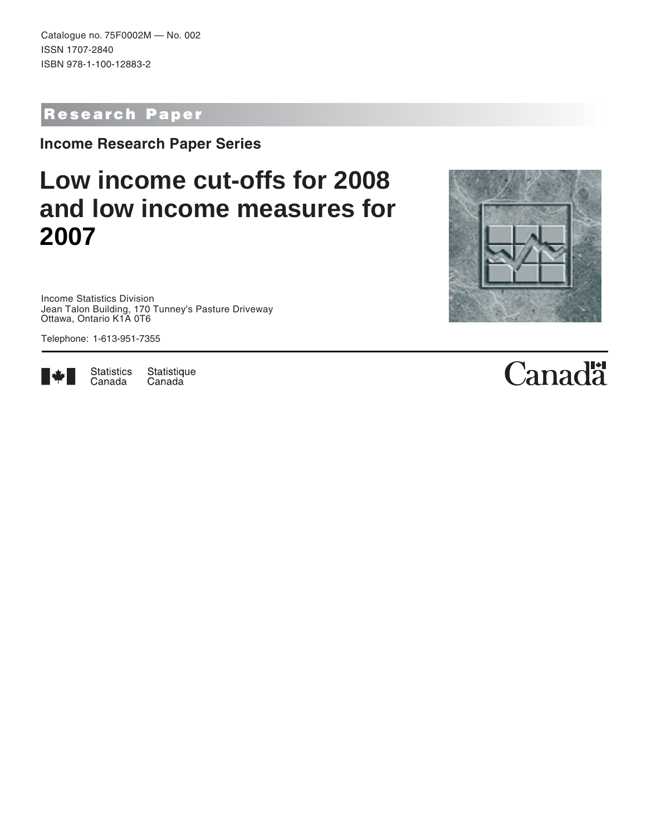Catalogue no. 75F0002M — No. 002 ISSN 1707-2840 ISBN 978-1-100-12883-2

## Research Paper

**Income Research Paper Series**

# **Low income cut-offs for 2008 and low income measures for 2007**

Income Statistics Division Jean Talon Building, 170 Tunney's Pasture Driveway Ottawa, Ontario K1A 0T6

Telephone: 1-613-951-7355



Statistics Statistique Canada Canada

# **Canadä**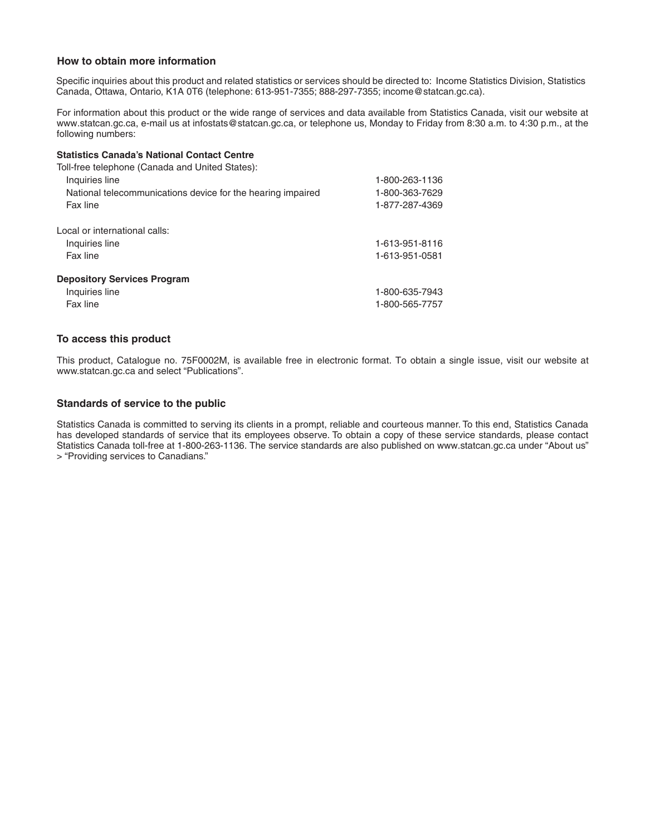#### **How to obtain more information**

Specific inquiries about this product and related statistics or services should be directed to: Income Statistics Division, Statistics Canada, Ottawa, Ontario, K1A 0T6 (telephone: 613-951-7355; 888-297-7355; income@statcan.gc.ca).

For information about this product or the wide range of services and data available from Statistics Canada, visit our website at www.statcan.gc.ca, e-mail us at infostats@statcan.gc.ca, or telephone us, Monday to Friday from 8:30 a.m. to 4:30 p.m., at the following numbers:

#### **Statistics Canada's National Contact Centre**

| Toll-free telephone (Canada and United States):             |                |
|-------------------------------------------------------------|----------------|
| Inquiries line                                              | 1-800-263-1136 |
| National telecommunications device for the hearing impaired | 1-800-363-7629 |
| Fax line                                                    | 1-877-287-4369 |
| Local or international calls:                               |                |
| Inquiries line                                              | 1-613-951-8116 |
| Fax line                                                    | 1-613-951-0581 |
| <b>Depository Services Program</b>                          |                |
| Inquiries line                                              | 1-800-635-7943 |
| Fax line                                                    | 1-800-565-7757 |

#### **To access this product**

This product, Catalogue no. 75F0002M, is available free in electronic format. To obtain a single issue, visit our website at www.statcan.gc.ca and select "Publications".

#### **Standards of service to the public**

Statistics Canada is committed to serving its clients in a prompt, reliable and courteous manner. To this end, Statistics Canada has developed standards of service that its employees observe. To obtain a copy of these service standards, please contact Statistics Canada toll-free at 1-800-263-1136. The service standards are also published on www.statcan.gc.ca under "About us" > "Providing services to Canadians."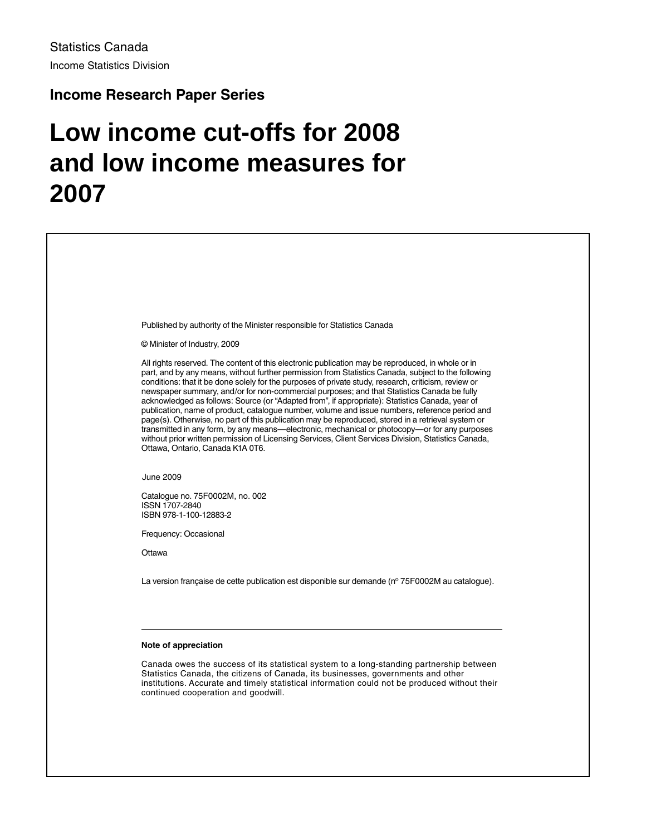#### **Income Research Paper Series**

# **Low income cut-offs for 2008 and low income measures for 2007**

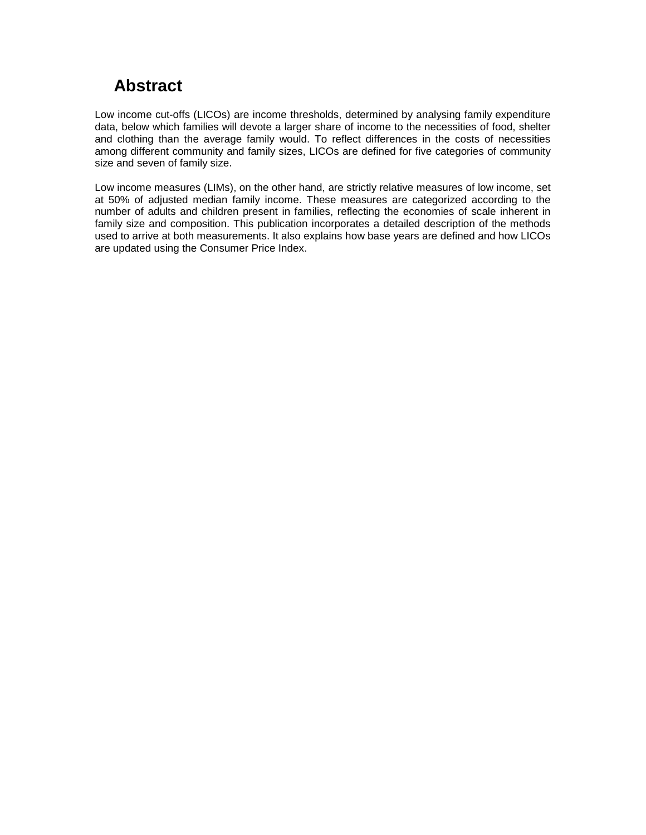## **Abstract**

Low income cut-offs (LICOs) are income thresholds, determined by analysing family expenditure data, below which families will devote a larger share of income to the necessities of food, shelter and clothing than the average family would. To reflect differences in the costs of necessities among different community and family sizes, LICOs are defined for five categories of community size and seven of family size.

Low income measures (LIMs), on the other hand, are strictly relative measures of low income, set at 50% of adjusted median family income. These measures are categorized according to the number of adults and children present in families, reflecting the economies of scale inherent in family size and composition. This publication incorporates a detailed description of the methods used to arrive at both measurements. It also explains how base years are defined and how LICOs are updated using the Consumer Price Index.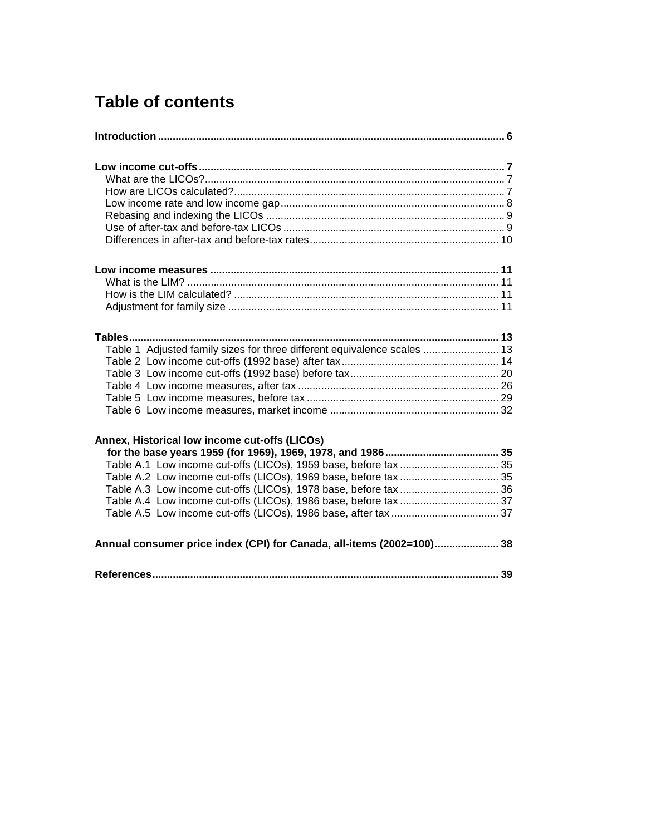## **Table of contents**

| Table 1 Adjusted family sizes for three different equivalence scales  13 |  |
|--------------------------------------------------------------------------|--|
|                                                                          |  |
|                                                                          |  |
|                                                                          |  |
|                                                                          |  |
|                                                                          |  |
| Annex, Historical low income cut-offs (LICOs)                            |  |
|                                                                          |  |
|                                                                          |  |
|                                                                          |  |
|                                                                          |  |
|                                                                          |  |
|                                                                          |  |
| Annual consumer price index (CPI) for Canada, all-items (2002=100) 38    |  |
|                                                                          |  |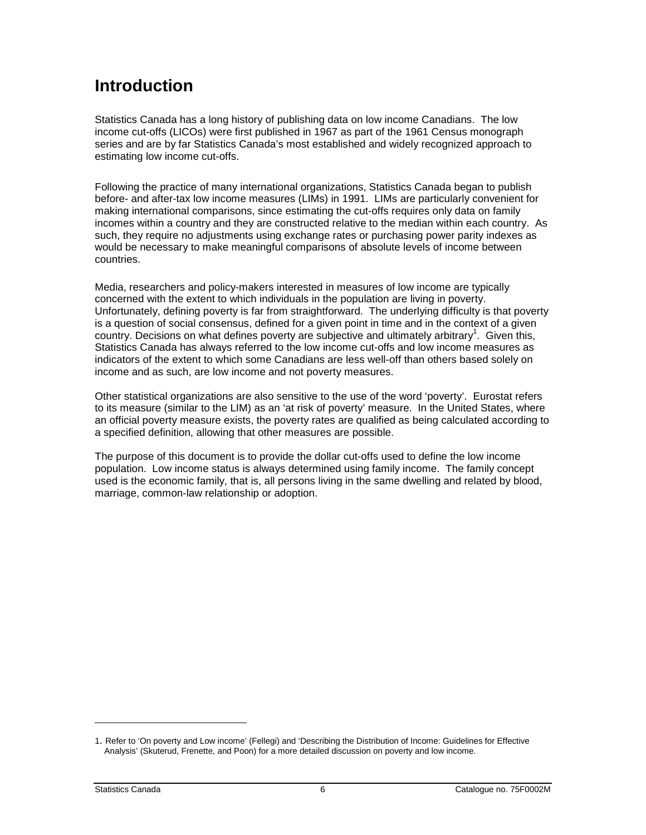## <span id="page-5-0"></span>**Introduction**

Statistics Canada has a long history of publishing data on low income Canadians. The low income cut-offs (LICOs) were first published in 1967 as part of the 1961 Census monograph series and are by far Statistics Canada's most established and widely recognized approach to estimating low income cut-offs.

Following the practice of many international organizations, Statistics Canada began to publish before- and after-tax low income measures (LIMs) in 1991. LIMs are particularly convenient for making international comparisons, since estimating the cut-offs requires only data on family incomes within a country and they are constructed relative to the median within each country. As such, they require no adjustments using exchange rates or purchasing power parity indexes as would be necessary to make meaningful comparisons of absolute levels of income between countries.

Media, researchers and policy-makers interested in measures of low income are typically concerned with the extent to which individuals in the population are living in poverty. Unfortunately, defining poverty is far from straightforward. The underlying difficulty is that poverty is a question of social consensus, defined for a given point in time and in the context of a given country. Decisions on what defines poverty are subjective and ultimately arbitrary<sup>1</sup>. Given this, Statistics Canada has always referred to the low income cut-offs and low income measures as indicators of the extent to which some Canadians are less well-off than others based solely on income and as such, are low income and not poverty measures.

Other statistical organizations are also sensitive to the use of the word 'poverty'. Eurostat refers to its measure (similar to the LIM) as an 'at risk of poverty' measure. In the United States, where an official poverty measure exists, the poverty rates are qualified as being calculated according to a specified definition, allowing that other measures are possible.

The purpose of this document is to provide the dollar cut-offs used to define the low income population. Low income status is always determined using family income. The family concept used is the economic family, that is, all persons living in the same dwelling and related by blood, marriage, common-law relationship or adoption.

<sup>1.</sup> Refer to 'On poverty and Low income' (Fellegi) and 'Describing the Distribution of Income: Guidelines for Effective Analysis' (Skuterud, Frenette, and Poon) for a more detailed discussion on poverty and low income.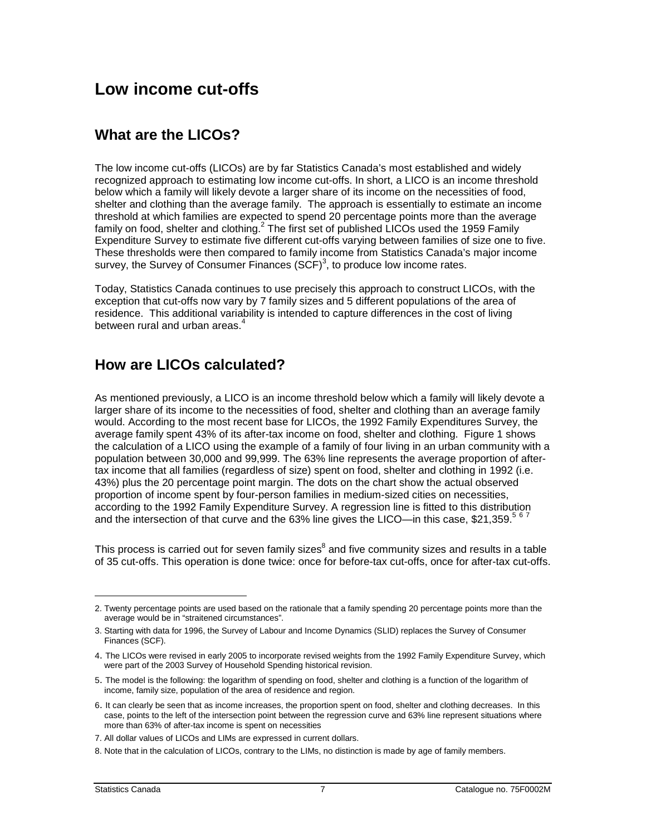## <span id="page-6-0"></span>**Low income cut-offs**

#### **What are the LICOs?**

The low income cut-offs (LICOs) are by far Statistics Canada's most established and widely recognized approach to estimating low income cut-offs. In short, a LICO is an income threshold below which a family will likely devote a larger share of its income on the necessities of food, shelter and clothing than the average family. The approach is essentially to estimate an income threshold at which families are expected to spend 20 percentage points more than the average family on food, shelter and clothing.<sup>2</sup> The first set of published LICOs used the 1959 Family Expenditure Survey to estimate five different cut-offs varying between families of size one to five. These thresholds were then compared to family income from Statistics Canada's major income survey, the Survey of Consumer Finances  $(SCF)^3$ , to produce low income rates.

Today, Statistics Canada continues to use precisely this approach to construct LICOs, with the exception that cut-offs now vary by 7 family sizes and 5 different populations of the area of residence. This additional variability is intended to capture differences in the cost of living between rural and urban areas. $4$ 

#### **How are LICOs calculated?**

As mentioned previously, a LICO is an income threshold below which a family will likely devote a larger share of its income to the necessities of food, shelter and clothing than an average family would. According to the most recent base for LICOs, the 1992 Family Expenditures Survey, the average family spent 43% of its after-tax income on food, shelter and clothing. Figure 1 shows the calculation of a LICO using the example of a family of four living in an urban community with a population between 30,000 and 99,999. The 63% line represents the average proportion of aftertax income that all families (regardless of size) spent on food, shelter and clothing in 1992 (i.e. 43%) plus the 20 percentage point margin. The dots on the chart show the actual observed proportion of income spent by four-person families in medium-sized cities on necessities, according to the 1992 Family Expenditure Survey. A regression line is fitted to this distribution and the intersection of that curve and the 63% line gives the LICO—in this case, \$21,359.<sup>5 6 7</sup>

This process is carried out for seven family sizes<sup>8</sup> and five community sizes and results in a table of 35 cut-offs. This operation is done twice: once for before-tax cut-offs, once for after-tax cut-offs.

<sup>2.</sup> Twenty percentage points are used based on the rationale that a family spending 20 percentage points more than the average would be in "straitened circumstances".

<sup>3.</sup> Starting with data for 1996, the Survey of Labour and Income Dynamics (SLID) replaces the Survey of Consumer Finances (SCF).

<sup>4.</sup> The LICOs were revised in early 2005 to incorporate revised weights from the 1992 Family Expenditure Survey, which were part of the 2003 Survey of Household Spending historical revision.

<sup>5.</sup> The model is the following: the logarithm of spending on food, shelter and clothing is a function of the logarithm of income, family size, population of the area of residence and region.

<sup>6.</sup> It can clearly be seen that as income increases, the proportion spent on food, shelter and clothing decreases. In this case, points to the left of the intersection point between the regression curve and 63% line represent situations where more than 63% of after-tax income is spent on necessities

<sup>7.</sup> All dollar values of LICOs and LIMs are expressed in current dollars.

<sup>8.</sup> Note that in the calculation of LICOs, contrary to the LIMs, no distinction is made by age of family members.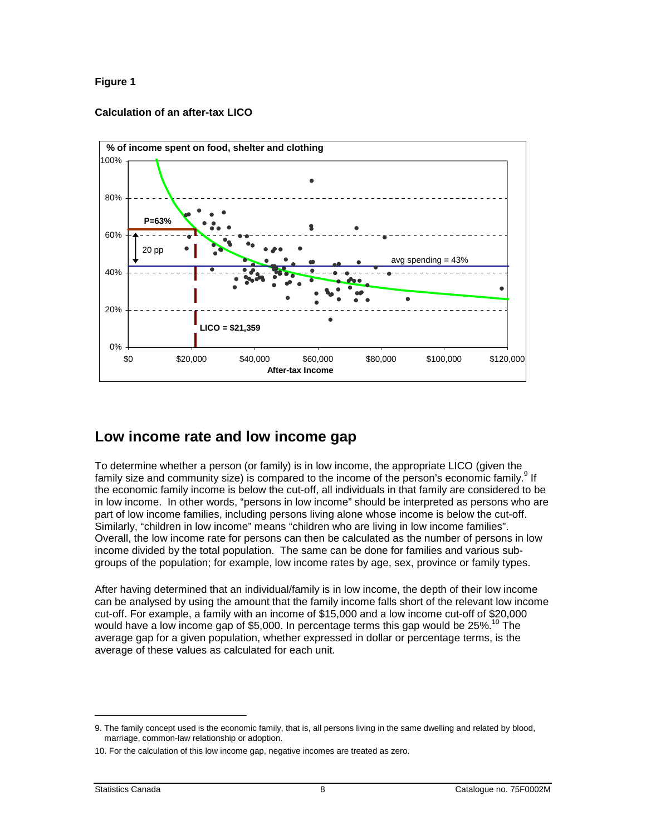#### <span id="page-7-0"></span>**Figure 1**

#### **Calculation of an after-tax LICO**



#### **Low income rate and low income gap**

To determine whether a person (or family) is in low income, the appropriate LICO (given the family size and community size) is compared to the income of the person's economic family.  $^{9}$  If the economic family income is below the cut-off, all individuals in that family are considered to be in low income. In other words, "persons in low income" should be interpreted as persons who are part of low income families, including persons living alone whose income is below the cut-off. Similarly, "children in low income" means "children who are living in low income families". Overall, the low income rate for persons can then be calculated as the number of persons in low income divided by the total population. The same can be done for families and various subgroups of the population; for example, low income rates by age, sex, province or family types.

After having determined that an individual/family is in low income, the depth of their low income can be analysed by using the amount that the family income falls short of the relevant low income cut-off. For example, a family with an income of \$15,000 and a low income cut-off of \$20,000 would have a low income gap of \$5,000. In percentage terms this gap would be 25%.<sup>10</sup> The average gap for a given population, whether expressed in dollar or percentage terms, is the average of these values as calculated for each unit.

<sup>9.</sup> The family concept used is the economic family, that is, all persons living in the same dwelling and related by blood, marriage, common-law relationship or adoption.

<sup>10.</sup> For the calculation of this low income gap, negative incomes are treated as zero.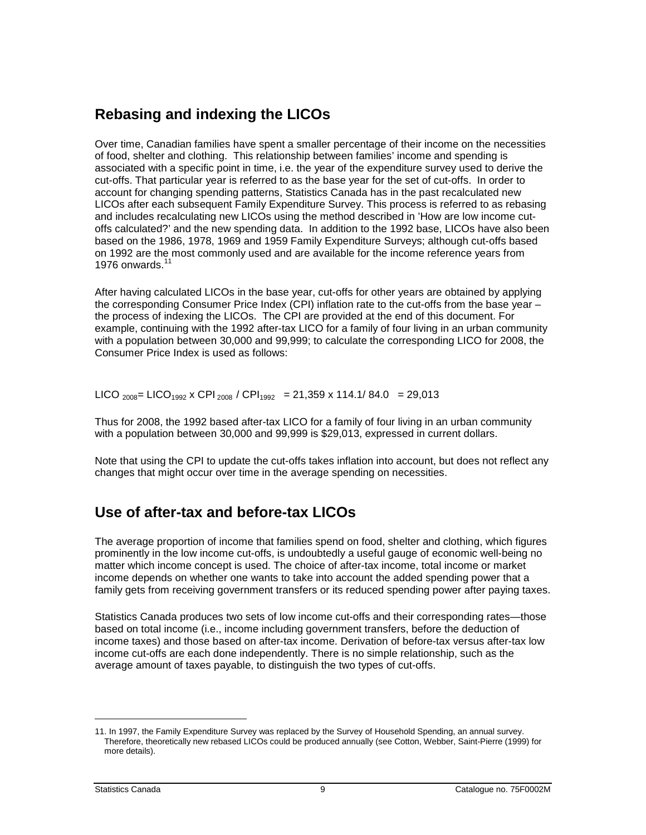#### <span id="page-8-0"></span>**Rebasing and indexing the LICOs**

Over time, Canadian families have spent a smaller percentage of their income on the necessities of food, shelter and clothing. This relationship between families' income and spending is associated with a specific point in time, i.e. the year of the expenditure survey used to derive the cut-offs. That particular year is referred to as the base year for the set of cut-offs. In order to account for changing spending patterns, Statistics Canada has in the past recalculated new LICOs after each subsequent Family Expenditure Survey. This process is referred to as rebasing and includes recalculating new LICOs using the method described in 'How are low income cutoffs calculated?' and the new spending data. In addition to the 1992 base, LICOs have also been based on the 1986, 1978, 1969 and 1959 Family Expenditure Surveys; although cut-offs based on 1992 are the most commonly used and are available for the income reference years from 1976 onwards.

After having calculated LICOs in the base year, cut-offs for other years are obtained by applying the corresponding Consumer Price Index (CPI) inflation rate to the cut-offs from the base year – the process of indexing the LICOs. The CPI are provided at the end of this document. For example, continuing with the 1992 after-tax LICO for a family of four living in an urban community with a population between 30,000 and 99,999; to calculate the corresponding LICO for 2008, the Consumer Price Index is used as follows:

LICO <sub>2008</sub> = LICO<sub>1992</sub> x CPI<sub>2008</sub> / CPI<sub>1992</sub> = 21,359 x 114.1/ 84.0 = 29,013

Thus for 2008, the 1992 based after-tax LICO for a family of four living in an urban community with a population between 30,000 and 99,999 is \$29,013, expressed in current dollars.

Note that using the CPI to update the cut-offs takes inflation into account, but does not reflect any changes that might occur over time in the average spending on necessities.

#### **Use of after-tax and before-tax LICOs**

The average proportion of income that families spend on food, shelter and clothing, which figures prominently in the low income cut-offs, is undoubtedly a useful gauge of economic well-being no matter which income concept is used. The choice of after-tax income, total income or market income depends on whether one wants to take into account the added spending power that a family gets from receiving government transfers or its reduced spending power after paying taxes.

Statistics Canada produces two sets of low income cut-offs and their corresponding rates—those based on total income (i.e., income including government transfers, before the deduction of income taxes) and those based on after-tax income. Derivation of before-tax versus after-tax low income cut-offs are each done independently. There is no simple relationship, such as the average amount of taxes payable, to distinguish the two types of cut-offs.

<sup>11.</sup> In 1997, the Family Expenditure Survey was replaced by the Survey of Household Spending, an annual survey. Therefore, theoretically new rebased LICOs could be produced annually (see Cotton, Webber, Saint-Pierre (1999) for more details).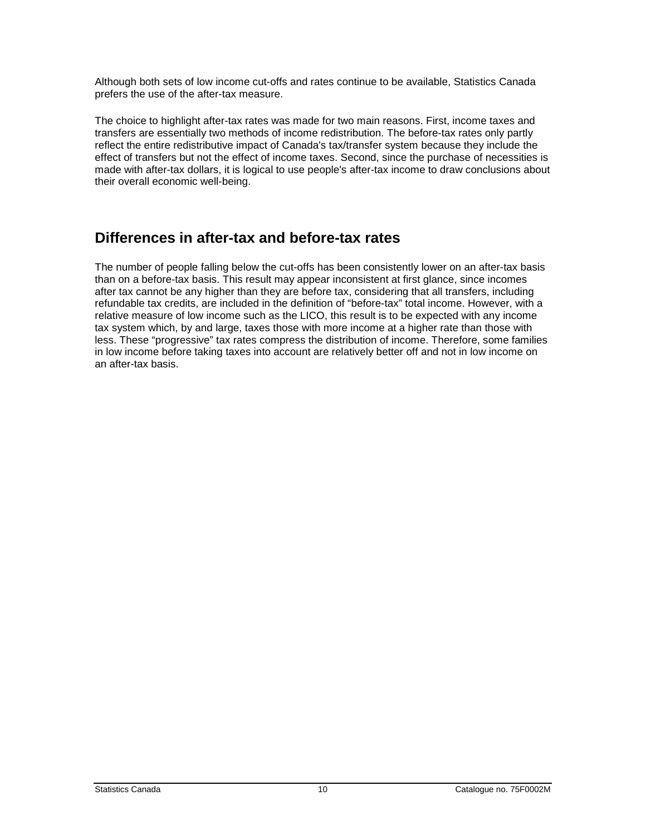<span id="page-9-0"></span>Although both sets of low income cut-offs and rates continue to be available, Statistics Canada prefers the use of the after-tax measure.

The choice to highlight after-tax rates was made for two main reasons. First, income taxes and transfers are essentially two methods of income redistribution. The before-tax rates only partly reflect the entire redistributive impact of Canada's tax/transfer system because they include the effect of transfers but not the effect of income taxes. Second, since the purchase of necessities is made with after-tax dollars, it is logical to use people's after-tax income to draw conclusions about their overall economic well-being.

#### **Differences in after-tax and before-tax rates**

The number of people falling below the cut-offs has been consistently lower on an after-tax basis than on a before-tax basis. This result may appear inconsistent at first glance, since incomes after tax cannot be any higher than they are before tax, considering that all transfers, including refundable tax credits, are included in the definition of "before-tax" total income. However, with a relative measure of low income such as the LICO, this result is to be expected with any income tax system which, by and large, taxes those with more income at a higher rate than those with less. These "progressive" tax rates compress the distribution of income. Therefore, some families in low income before taking taxes into account are relatively better off and not in low income on an after-tax basis.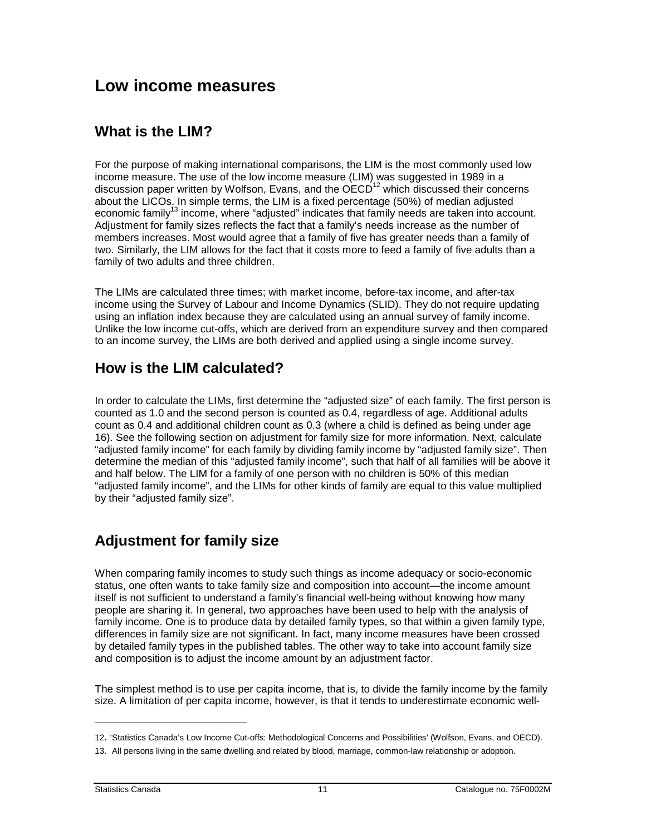### <span id="page-10-0"></span>**Low income measures**

#### **What is the LIM?**

For the purpose of making international comparisons, the LIM is the most commonly used low income measure. The use of the low income measure (LIM) was suggested in 1989 in a discussion paper written by Wolfson, Evans, and the  $\overline{OECD}^{12}$  which discussed their concerns about the LICOs. In simple terms, the LIM is a fixed percentage (50%) of median adjusted economic family<sup>13</sup> income, where "adjusted" indicates that family needs are taken into account. Adjustment for family sizes reflects the fact that a family's needs increase as the number of members increases. Most would agree that a family of five has greater needs than a family of two. Similarly, the LIM allows for the fact that it costs more to feed a family of five adults than a family of two adults and three children.

The LIMs are calculated three times; with market income, before-tax income, and after-tax income using the Survey of Labour and Income Dynamics (SLID). They do not require updating using an inflation index because they are calculated using an annual survey of family income. Unlike the low income cut-offs, which are derived from an expenditure survey and then compared to an income survey, the LIMs are both derived and applied using a single income survey.

#### **How is the LIM calculated?**

In order to calculate the LIMs, first determine the "adjusted size" of each family. The first person is counted as 1.0 and the second person is counted as 0.4, regardless of age. Additional adults count as 0.4 and additional children count as 0.3 (where a child is defined as being under age 16). See the following section on adjustment for family size for more information. Next, calculate "adjusted family income" for each family by dividing family income by "adjusted family size". Then determine the median of this "adjusted family income", such that half of all families will be above it and half below. The LIM for a family of one person with no children is 50% of this median "adjusted family income", and the LIMs for other kinds of family are equal to this value multiplied by their "adjusted family size".

#### **Adjustment for family size**

When comparing family incomes to study such things as income adequacy or socio-economic status, one often wants to take family size and composition into account—the income amount itself is not sufficient to understand a family's financial well-being without knowing how many people are sharing it. In general, two approaches have been used to help with the analysis of family income. One is to produce data by detailed family types, so that within a given family type, differences in family size are not significant. In fact, many income measures have been crossed by detailed family types in the published tables. The other way to take into account family size and composition is to adjust the income amount by an adjustment factor.

The simplest method is to use per capita income, that is, to divide the family income by the family size. A limitation of per capita income, however, is that it tends to underestimate economic well-

<sup>12. &#</sup>x27;Statistics Canada's Low Income Cut-offs: Methodological Concerns and Possibilities' (Wolfson, Evans, and OECD).

<sup>13.</sup> All persons living in the same dwelling and related by blood, marriage, common-law relationship or adoption.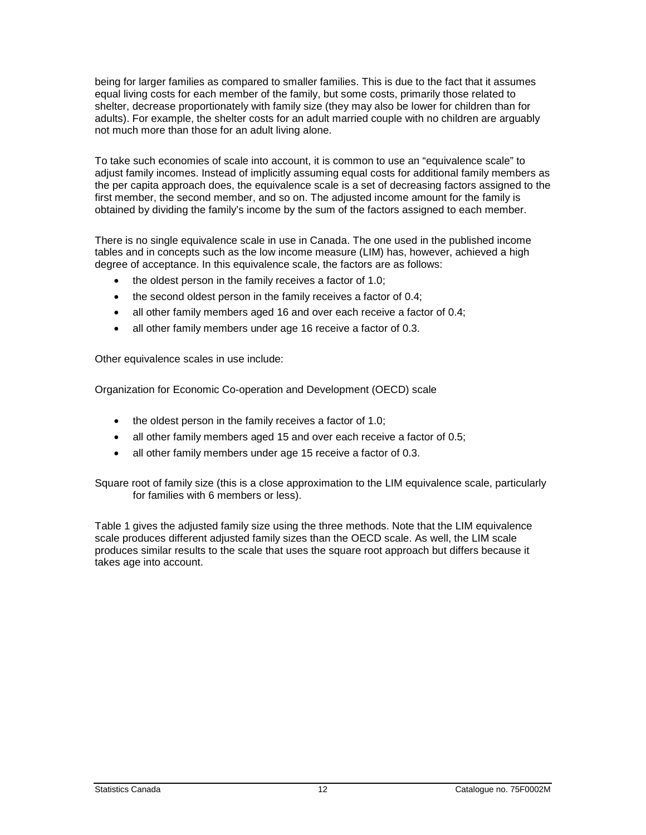being for larger families as compared to smaller families. This is due to the fact that it assumes equal living costs for each member of the family, but some costs, primarily those related to shelter, decrease proportionately with family size (they may also be lower for children than for adults). For example, the shelter costs for an adult married couple with no children are arguably not much more than those for an adult living alone.

To take such economies of scale into account, it is common to use an "equivalence scale" to adjust family incomes. Instead of implicitly assuming equal costs for additional family members as the per capita approach does, the equivalence scale is a set of decreasing factors assigned to the first member, the second member, and so on. The adjusted income amount for the family is obtained by dividing the family's income by the sum of the factors assigned to each member.

There is no single equivalence scale in use in Canada. The one used in the published income tables and in concepts such as the low income measure (LIM) has, however, achieved a high degree of acceptance. In this equivalence scale, the factors are as follows:

- the oldest person in the family receives a factor of 1.0;
- the second oldest person in the family receives a factor of 0.4;
- all other family members aged 16 and over each receive a factor of 0.4;
- all other family members under age 16 receive a factor of 0.3.

Other equivalence scales in use include:

Organization for Economic Co-operation and Development (OECD) scale

- the oldest person in the family receives a factor of 1.0;
- all other family members aged 15 and over each receive a factor of 0.5;
- all other family members under age 15 receive a factor of 0.3.

Square root of family size (this is a close approximation to the LIM equivalence scale, particularly for families with 6 members or less).

Table 1 gives the adjusted family size using the three methods. Note that the LIM equivalence scale produces different adjusted family sizes than the OECD scale. As well, the LIM scale produces similar results to the scale that uses the square root approach but differs because it takes age into account.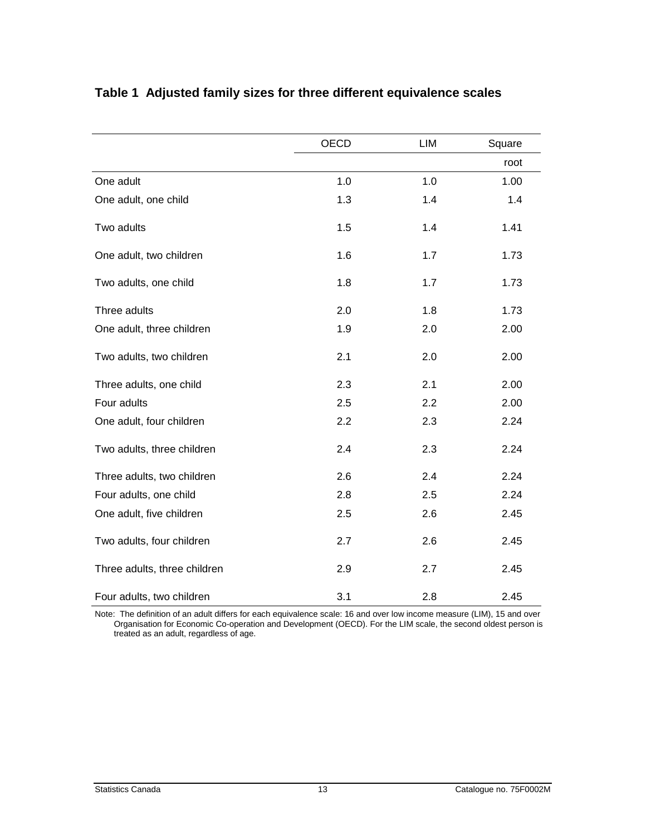|                              | OECD | LIM | Square |
|------------------------------|------|-----|--------|
|                              |      |     | root   |
| One adult                    | 1.0  | 1.0 | 1.00   |
| One adult, one child         | 1.3  | 1.4 | 1.4    |
| Two adults                   | 1.5  | 1.4 | 1.41   |
| One adult, two children      | 1.6  | 1.7 | 1.73   |
| Two adults, one child        | 1.8  | 1.7 | 1.73   |
| Three adults                 | 2.0  | 1.8 | 1.73   |
| One adult, three children    | 1.9  | 2.0 | 2.00   |
| Two adults, two children     | 2.1  | 2.0 | 2.00   |
| Three adults, one child      | 2.3  | 2.1 | 2.00   |
| Four adults                  | 2.5  | 2.2 | 2.00   |
| One adult, four children     | 2.2  | 2.3 | 2.24   |
| Two adults, three children   | 2.4  | 2.3 | 2.24   |
| Three adults, two children   | 2.6  | 2.4 | 2.24   |
| Four adults, one child       | 2.8  | 2.5 | 2.24   |
| One adult, five children     | 2.5  | 2.6 | 2.45   |
| Two adults, four children    | 2.7  | 2.6 | 2.45   |
| Three adults, three children | 2.9  | 2.7 | 2.45   |
| Four adults, two children    | 3.1  | 2.8 | 2.45   |

#### <span id="page-12-0"></span>**Table 1 Adjusted family sizes for three different equivalence scales**

Note: The definition of an adult differs for each equivalence scale: 16 and over low income measure (LIM), 15 and over Organisation for Economic Co-operation and Development (OECD). For the LIM scale, the second oldest person is treated as an adult, regardless of age.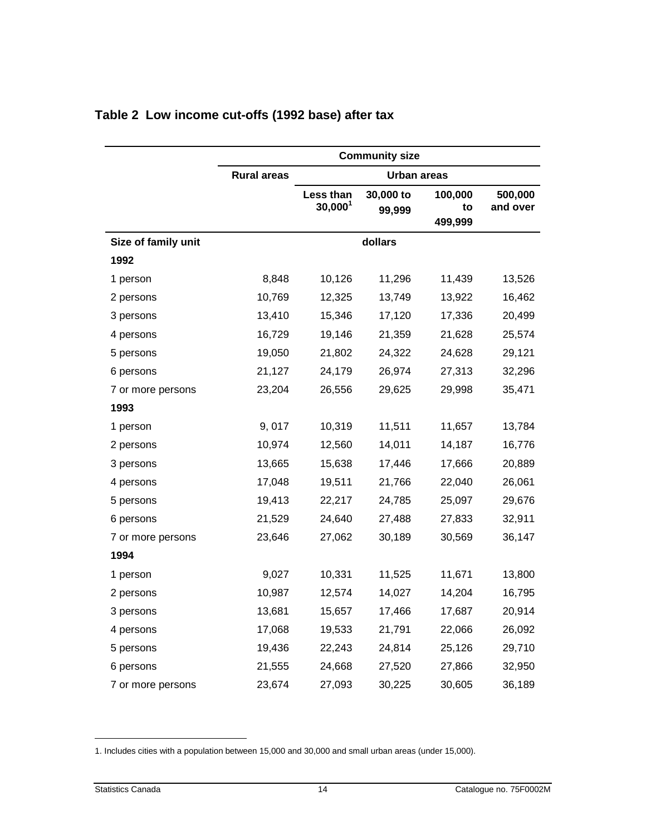|                     |                    |                         | <b>Community size</b> |                          |                     |
|---------------------|--------------------|-------------------------|-----------------------|--------------------------|---------------------|
|                     | <b>Rural areas</b> |                         | <b>Urban areas</b>    |                          |                     |
|                     |                    | Less than<br>$30,000^1$ | 30,000 to<br>99,999   | 100,000<br>to<br>499,999 | 500,000<br>and over |
| Size of family unit |                    |                         | dollars               |                          |                     |
| 1992                |                    |                         |                       |                          |                     |
| 1 person            | 8,848              | 10,126                  | 11,296                | 11,439                   | 13,526              |
| 2 persons           | 10,769             | 12,325                  | 13,749                | 13,922                   | 16,462              |
| 3 persons           | 13,410             | 15,346                  | 17,120                | 17,336                   | 20,499              |
| 4 persons           | 16,729             | 19,146                  | 21,359                | 21,628                   | 25,574              |
| 5 persons           | 19,050             | 21,802                  | 24,322                | 24,628                   | 29,121              |
| 6 persons           | 21,127             | 24,179                  | 26,974                | 27,313                   | 32,296              |
| 7 or more persons   | 23,204             | 26,556                  | 29,625                | 29,998                   | 35,471              |
| 1993                |                    |                         |                       |                          |                     |
| 1 person            | 9,017              | 10,319                  | 11,511                | 11,657                   | 13,784              |
| 2 persons           | 10,974             | 12,560                  | 14,011                | 14,187                   | 16,776              |
| 3 persons           | 13,665             | 15,638                  | 17,446                | 17,666                   | 20,889              |
| 4 persons           | 17,048             | 19,511                  | 21,766                | 22,040                   | 26,061              |
| 5 persons           | 19,413             | 22,217                  | 24,785                | 25,097                   | 29,676              |
| 6 persons           | 21,529             | 24,640                  | 27,488                | 27,833                   | 32,911              |
| 7 or more persons   | 23,646             | 27,062                  | 30,189                | 30,569                   | 36,147              |
| 1994                |                    |                         |                       |                          |                     |
| 1 person            | 9,027              | 10,331                  | 11,525                | 11,671                   | 13,800              |
| 2 persons           | 10,987             | 12,574                  | 14,027                | 14,204                   | 16,795              |
| 3 persons           | 13,681             | 15,657                  | 17,466                | 17,687                   | 20,914              |
| 4 persons           | 17,068             | 19,533                  | 21,791                | 22,066                   | 26,092              |
| 5 persons           | 19,436             | 22,243                  | 24,814                | 25,126                   | 29,710              |
| 6 persons           | 21,555             | 24,668                  | 27,520                | 27,866                   | 32,950              |
| 7 or more persons   | 23,674             | 27,093                  | 30,225                | 30,605                   | 36,189              |

#### <span id="page-13-0"></span>**Table 2 Low income cut-offs (1992 base) after tax**

<sup>1.</sup> Includes cities with a population between 15,000 and 30,000 and small urban areas (under 15,000).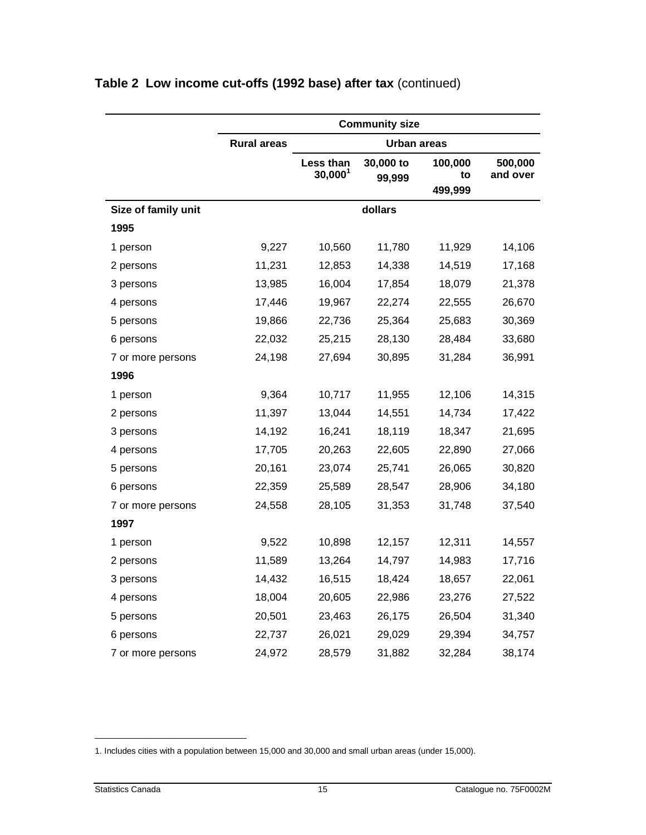|                     | <b>Community size</b> |                                  |                     |                          |                     |
|---------------------|-----------------------|----------------------------------|---------------------|--------------------------|---------------------|
|                     | <b>Rural areas</b>    |                                  | <b>Urban areas</b>  |                          |                     |
|                     |                       | Less than<br>30,000 <sup>1</sup> | 30,000 to<br>99,999 | 100,000<br>to<br>499,999 | 500,000<br>and over |
| Size of family unit |                       |                                  | dollars             |                          |                     |
| 1995                |                       |                                  |                     |                          |                     |
| 1 person            | 9,227                 | 10,560                           | 11,780              | 11,929                   | 14,106              |
| 2 persons           | 11,231                | 12,853                           | 14,338              | 14,519                   | 17,168              |
| 3 persons           | 13,985                | 16,004                           | 17,854              | 18,079                   | 21,378              |
| 4 persons           | 17,446                | 19,967                           | 22,274              | 22,555                   | 26,670              |
| 5 persons           | 19,866                | 22,736                           | 25,364              | 25,683                   | 30,369              |
| 6 persons           | 22,032                | 25,215                           | 28,130              | 28,484                   | 33,680              |
| 7 or more persons   | 24,198                | 27,694                           | 30,895              | 31,284                   | 36,991              |
| 1996                |                       |                                  |                     |                          |                     |
| 1 person            | 9,364                 | 10,717                           | 11,955              | 12,106                   | 14,315              |
| 2 persons           | 11,397                | 13,044                           | 14,551              | 14,734                   | 17,422              |
| 3 persons           | 14,192                | 16,241                           | 18,119              | 18,347                   | 21,695              |
| 4 persons           | 17,705                | 20,263                           | 22,605              | 22,890                   | 27,066              |
| 5 persons           | 20,161                | 23,074                           | 25,741              | 26,065                   | 30,820              |
| 6 persons           | 22,359                | 25,589                           | 28,547              | 28,906                   | 34,180              |
| 7 or more persons   | 24,558                | 28,105                           | 31,353              | 31,748                   | 37,540              |
| 1997                |                       |                                  |                     |                          |                     |
| 1 person            | 9,522                 | 10,898                           | 12,157              | 12,311                   | 14,557              |
| 2 persons           | 11,589                | 13,264                           | 14,797              | 14,983                   | 17,716              |
| 3 persons           | 14,432                | 16,515                           | 18,424              | 18,657                   | 22,061              |
| 4 persons           | 18,004                | 20,605                           | 22,986              | 23,276                   | 27,522              |
| 5 persons           | 20,501                | 23,463                           | 26,175              | 26,504                   | 31,340              |
| 6 persons           | 22,737                | 26,021                           | 29,029              | 29,394                   | 34,757              |
| 7 or more persons   | 24,972                | 28,579                           | 31,882              | 32,284                   | 38,174              |

<sup>1.</sup> Includes cities with a population between 15,000 and 30,000 and small urban areas (under 15,000).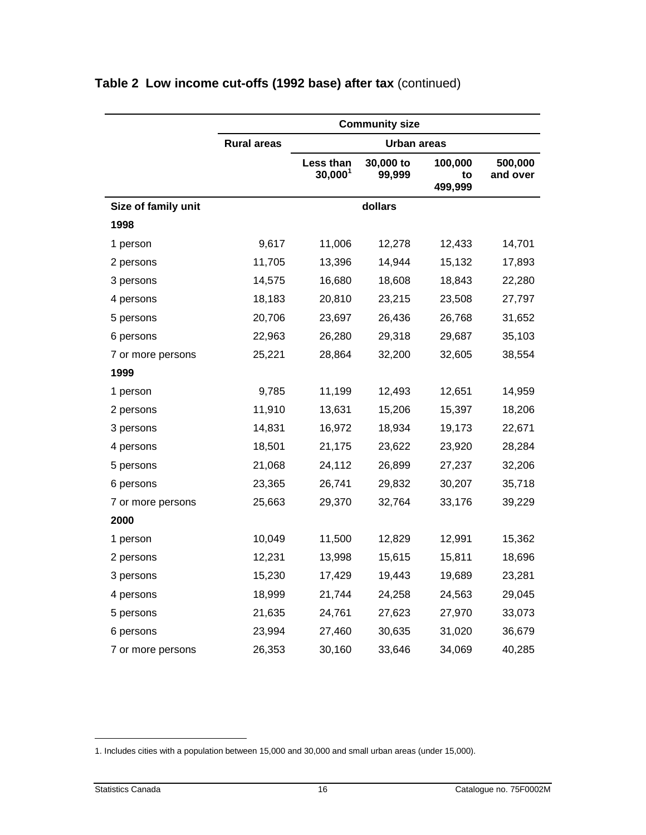|                     | <b>Community size</b> |                         |                     |                          |                     |
|---------------------|-----------------------|-------------------------|---------------------|--------------------------|---------------------|
|                     | <b>Rural areas</b>    |                         | Urban areas         |                          |                     |
|                     |                       | Less than<br>$30,000^1$ | 30,000 to<br>99,999 | 100,000<br>to<br>499,999 | 500,000<br>and over |
| Size of family unit |                       |                         | dollars             |                          |                     |
| 1998                |                       |                         |                     |                          |                     |
| 1 person            | 9,617                 | 11,006                  | 12,278              | 12,433                   | 14,701              |
| 2 persons           | 11,705                | 13,396                  | 14,944              | 15,132                   | 17,893              |
| 3 persons           | 14,575                | 16,680                  | 18,608              | 18,843                   | 22,280              |
| 4 persons           | 18,183                | 20,810                  | 23,215              | 23,508                   | 27,797              |
| 5 persons           | 20,706                | 23,697                  | 26,436              | 26,768                   | 31,652              |
| 6 persons           | 22,963                | 26,280                  | 29,318              | 29,687                   | 35,103              |
| 7 or more persons   | 25,221                | 28,864                  | 32,200              | 32,605                   | 38,554              |
| 1999                |                       |                         |                     |                          |                     |
| 1 person            | 9,785                 | 11,199                  | 12,493              | 12,651                   | 14,959              |
| 2 persons           | 11,910                | 13,631                  | 15,206              | 15,397                   | 18,206              |
| 3 persons           | 14,831                | 16,972                  | 18,934              | 19,173                   | 22,671              |
| 4 persons           | 18,501                | 21,175                  | 23,622              | 23,920                   | 28,284              |
| 5 persons           | 21,068                | 24,112                  | 26,899              | 27,237                   | 32,206              |
| 6 persons           | 23,365                | 26,741                  | 29,832              | 30,207                   | 35,718              |
| 7 or more persons   | 25,663                | 29,370                  | 32,764              | 33,176                   | 39,229              |
| 2000                |                       |                         |                     |                          |                     |
| 1 person            | 10,049                | 11,500                  | 12,829              | 12,991                   | 15,362              |
| 2 persons           | 12,231                | 13,998                  | 15,615              | 15,811                   | 18,696              |
| 3 persons           | 15,230                | 17,429                  | 19,443              | 19,689                   | 23,281              |
| 4 persons           | 18,999                | 21,744                  | 24,258              | 24,563                   | 29,045              |
| 5 persons           | 21,635                | 24,761                  | 27,623              | 27,970                   | 33,073              |
| 6 persons           | 23,994                | 27,460                  | 30,635              | 31,020                   | 36,679              |
| 7 or more persons   | 26,353                | 30,160                  | 33,646              | 34,069                   | 40,285              |

<sup>1.</sup> Includes cities with a population between 15,000 and 30,000 and small urban areas (under 15,000).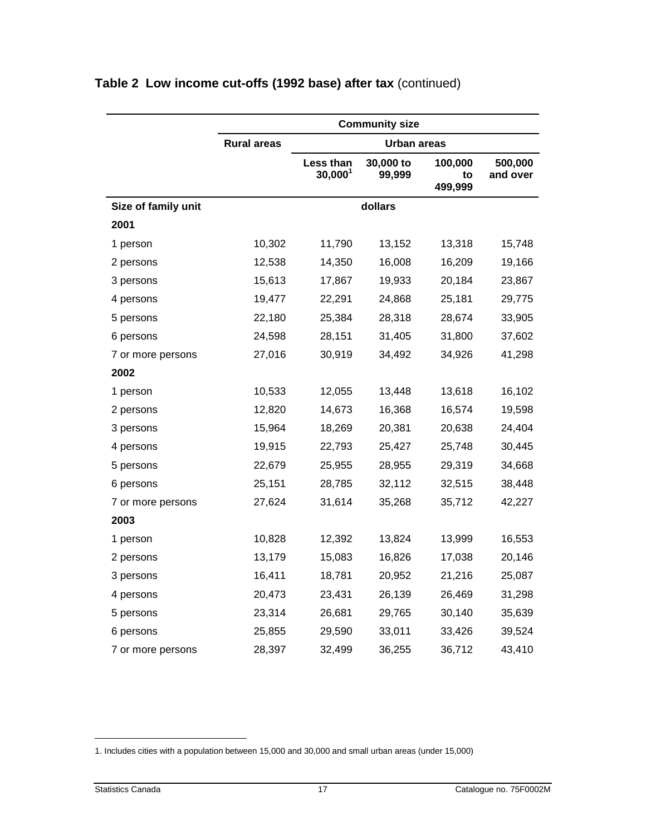|                     |                    |                         | <b>Community size</b> |                          |                     |
|---------------------|--------------------|-------------------------|-----------------------|--------------------------|---------------------|
|                     | <b>Rural areas</b> |                         | <b>Urban areas</b>    |                          |                     |
|                     |                    | Less than<br>$30,000^1$ | 30,000 to<br>99,999   | 100,000<br>to<br>499,999 | 500,000<br>and over |
| Size of family unit |                    |                         | dollars               |                          |                     |
| 2001                |                    |                         |                       |                          |                     |
| 1 person            | 10,302             | 11,790                  | 13,152                | 13,318                   | 15,748              |
| 2 persons           | 12,538             | 14,350                  | 16,008                | 16,209                   | 19,166              |
| 3 persons           | 15,613             | 17,867                  | 19,933                | 20,184                   | 23,867              |
| 4 persons           | 19,477             | 22,291                  | 24,868                | 25,181                   | 29,775              |
| 5 persons           | 22,180             | 25,384                  | 28,318                | 28,674                   | 33,905              |
| 6 persons           | 24,598             | 28,151                  | 31,405                | 31,800                   | 37,602              |
| 7 or more persons   | 27,016             | 30,919                  | 34,492                | 34,926                   | 41,298              |
| 2002                |                    |                         |                       |                          |                     |
| 1 person            | 10,533             | 12,055                  | 13,448                | 13,618                   | 16,102              |
| 2 persons           | 12,820             | 14,673                  | 16,368                | 16,574                   | 19,598              |
| 3 persons           | 15,964             | 18,269                  | 20,381                | 20,638                   | 24,404              |
| 4 persons           | 19,915             | 22,793                  | 25,427                | 25,748                   | 30,445              |
| 5 persons           | 22,679             | 25,955                  | 28,955                | 29,319                   | 34,668              |
| 6 persons           | 25,151             | 28,785                  | 32,112                | 32,515                   | 38,448              |
| 7 or more persons   | 27,624             | 31,614                  | 35,268                | 35,712                   | 42,227              |
| 2003                |                    |                         |                       |                          |                     |
| 1 person            | 10,828             | 12,392                  | 13,824                | 13,999                   | 16,553              |
| 2 persons           | 13,179             | 15,083                  | 16,826                | 17,038                   | 20,146              |
| 3 persons           | 16,411             | 18,781                  | 20,952                | 21,216                   | 25,087              |
| 4 persons           | 20,473             | 23,431                  | 26,139                | 26,469                   | 31,298              |
| 5 persons           | 23,314             | 26,681                  | 29,765                | 30,140                   | 35,639              |
| 6 persons           | 25,855             | 29,590                  | 33,011                | 33,426                   | 39,524              |
| 7 or more persons   | 28,397             | 32,499                  | 36,255                | 36,712                   | 43,410              |

<sup>1.</sup> Includes cities with a population between 15,000 and 30,000 and small urban areas (under 15,000)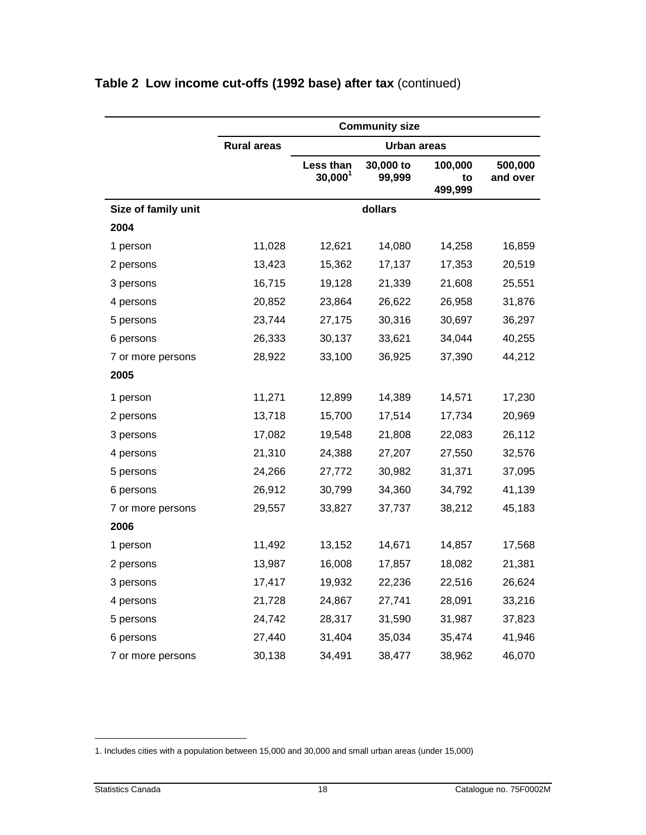|                     | <b>Community size</b> |                                  |                     |                          |                     |
|---------------------|-----------------------|----------------------------------|---------------------|--------------------------|---------------------|
|                     | <b>Rural areas</b>    |                                  | <b>Urban areas</b>  |                          |                     |
|                     |                       | Less than<br>30,000 <sup>1</sup> | 30,000 to<br>99,999 | 100,000<br>to<br>499,999 | 500,000<br>and over |
| Size of family unit |                       |                                  | dollars             |                          |                     |
| 2004                |                       |                                  |                     |                          |                     |
| 1 person            | 11,028                | 12,621                           | 14,080              | 14,258                   | 16,859              |
| 2 persons           | 13,423                | 15,362                           | 17,137              | 17,353                   | 20,519              |
| 3 persons           | 16,715                | 19,128                           | 21,339              | 21,608                   | 25,551              |
| 4 persons           | 20,852                | 23,864                           | 26,622              | 26,958                   | 31,876              |
| 5 persons           | 23,744                | 27,175                           | 30,316              | 30,697                   | 36,297              |
| 6 persons           | 26,333                | 30,137                           | 33,621              | 34,044                   | 40,255              |
| 7 or more persons   | 28,922                | 33,100                           | 36,925              | 37,390                   | 44,212              |
| 2005                |                       |                                  |                     |                          |                     |
| 1 person            | 11,271                | 12,899                           | 14,389              | 14,571                   | 17,230              |
| 2 persons           | 13,718                | 15,700                           | 17,514              | 17,734                   | 20,969              |
| 3 persons           | 17,082                | 19,548                           | 21,808              | 22,083                   | 26,112              |
| 4 persons           | 21,310                | 24,388                           | 27,207              | 27,550                   | 32,576              |
| 5 persons           | 24,266                | 27,772                           | 30,982              | 31,371                   | 37,095              |
| 6 persons           | 26,912                | 30,799                           | 34,360              | 34,792                   | 41,139              |
| 7 or more persons   | 29,557                | 33,827                           | 37,737              | 38,212                   | 45,183              |
| 2006                |                       |                                  |                     |                          |                     |
| 1 person            | 11,492                | 13,152                           | 14,671              | 14,857                   | 17,568              |
| 2 persons           | 13,987                | 16,008                           | 17,857              | 18,082                   | 21,381              |
| 3 persons           | 17,417                | 19,932                           | 22,236              | 22,516                   | 26,624              |
| 4 persons           | 21,728                | 24,867                           | 27,741              | 28,091                   | 33,216              |
| 5 persons           | 24,742                | 28,317                           | 31,590              | 31,987                   | 37,823              |
| 6 persons           | 27,440                | 31,404                           | 35,034              | 35,474                   | 41,946              |
| 7 or more persons   | 30,138                | 34,491                           | 38,477              | 38,962                   | 46,070              |

<sup>1.</sup> Includes cities with a population between 15,000 and 30,000 and small urban areas (under 15,000)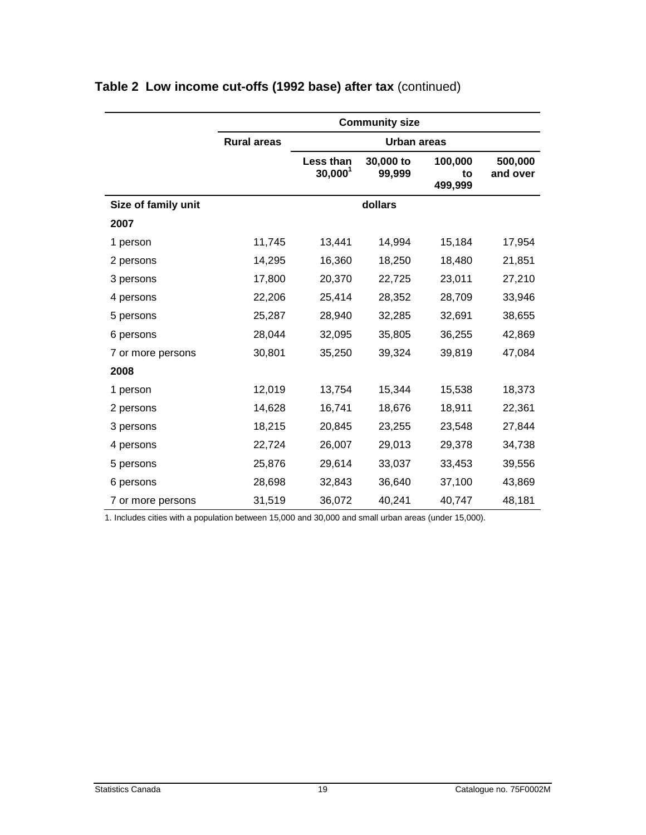|                     | <b>Community size</b> |                         |                     |                          |                     |
|---------------------|-----------------------|-------------------------|---------------------|--------------------------|---------------------|
|                     | <b>Rural areas</b>    |                         | Urban areas         |                          |                     |
|                     |                       | Less than<br>$30,000^1$ | 30,000 to<br>99,999 | 100,000<br>to<br>499,999 | 500,000<br>and over |
| Size of family unit |                       |                         | dollars             |                          |                     |
| 2007                |                       |                         |                     |                          |                     |
| 1 person            | 11,745                | 13,441                  | 14,994              | 15,184                   | 17,954              |
| 2 persons           | 14,295                | 16,360                  | 18,250              | 18,480                   | 21,851              |
| 3 persons           | 17,800                | 20,370                  | 22,725              | 23,011                   | 27,210              |
| 4 persons           | 22,206                | 25,414                  | 28,352              | 28,709                   | 33,946              |
| 5 persons           | 25,287                | 28,940                  | 32,285              | 32,691                   | 38,655              |
| 6 persons           | 28,044                | 32,095                  | 35,805              | 36,255                   | 42,869              |
| 7 or more persons   | 30,801                | 35,250                  | 39,324              | 39,819                   | 47,084              |
| 2008                |                       |                         |                     |                          |                     |
| 1 person            | 12,019                | 13,754                  | 15,344              | 15,538                   | 18,373              |
| 2 persons           | 14,628                | 16,741                  | 18,676              | 18,911                   | 22,361              |
| 3 persons           | 18,215                | 20,845                  | 23,255              | 23,548                   | 27,844              |
| 4 persons           | 22,724                | 26,007                  | 29,013              | 29,378                   | 34,738              |
| 5 persons           | 25,876                | 29,614                  | 33,037              | 33,453                   | 39,556              |
| 6 persons           | 28,698                | 32,843                  | 36,640              | 37,100                   | 43,869              |
| 7 or more persons   | 31,519                | 36,072                  | 40,241              | 40,747                   | 48,181              |

1. Includes cities with a population between 15,000 and 30,000 and small urban areas (under 15,000).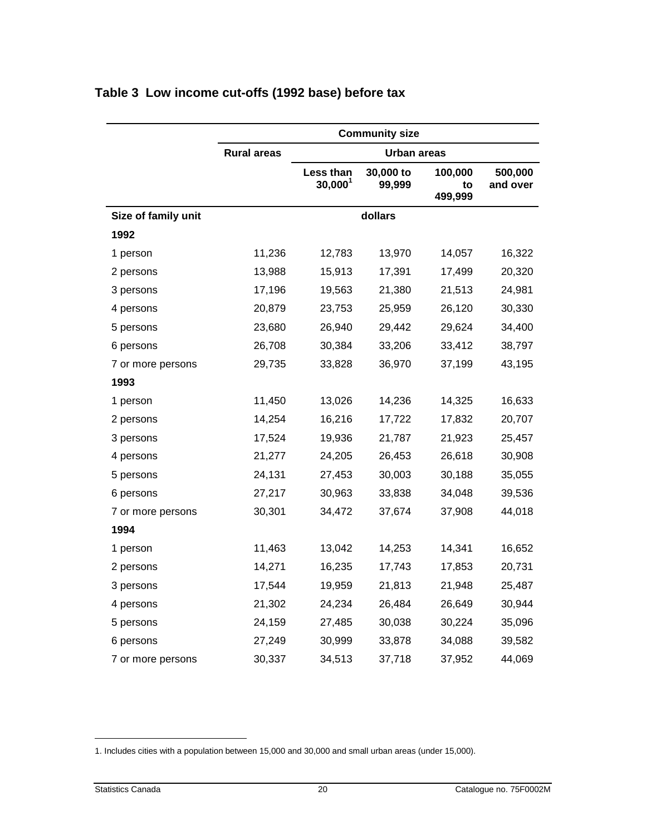|                     |                    |                         | <b>Community size</b> |                          |                     |
|---------------------|--------------------|-------------------------|-----------------------|--------------------------|---------------------|
|                     | <b>Rural areas</b> |                         | <b>Urban areas</b>    |                          |                     |
|                     |                    | Less than<br>$30,000^1$ | 30,000 to<br>99,999   | 100,000<br>to<br>499,999 | 500,000<br>and over |
| Size of family unit |                    |                         | dollars               |                          |                     |
| 1992                |                    |                         |                       |                          |                     |
| 1 person            | 11,236             | 12,783                  | 13,970                | 14,057                   | 16,322              |
| 2 persons           | 13,988             | 15,913                  | 17,391                | 17,499                   | 20,320              |
| 3 persons           | 17,196             | 19,563                  | 21,380                | 21,513                   | 24,981              |
| 4 persons           | 20,879             | 23,753                  | 25,959                | 26,120                   | 30,330              |
| 5 persons           | 23,680             | 26,940                  | 29,442                | 29,624                   | 34,400              |
| 6 persons           | 26,708             | 30,384                  | 33,206                | 33,412                   | 38,797              |
| 7 or more persons   | 29,735             | 33,828                  | 36,970                | 37,199                   | 43,195              |
| 1993                |                    |                         |                       |                          |                     |
| 1 person            | 11,450             | 13,026                  | 14,236                | 14,325                   | 16,633              |
| 2 persons           | 14,254             | 16,216                  | 17,722                | 17,832                   | 20,707              |
| 3 persons           | 17,524             | 19,936                  | 21,787                | 21,923                   | 25,457              |
| 4 persons           | 21,277             | 24,205                  | 26,453                | 26,618                   | 30,908              |
| 5 persons           | 24,131             | 27,453                  | 30,003                | 30,188                   | 35,055              |
| 6 persons           | 27,217             | 30,963                  | 33,838                | 34,048                   | 39,536              |
| 7 or more persons   | 30,301             | 34,472                  | 37,674                | 37,908                   | 44,018              |
| 1994                |                    |                         |                       |                          |                     |
| 1 person            | 11,463             | 13,042                  | 14,253                | 14,341                   | 16,652              |
| 2 persons           | 14,271             | 16,235                  | 17,743                | 17,853                   | 20,731              |
| 3 persons           | 17,544             | 19,959                  | 21,813                | 21,948                   | 25,487              |
| 4 persons           | 21,302             | 24,234                  | 26,484                | 26,649                   | 30,944              |
| 5 persons           | 24,159             | 27,485                  | 30,038                | 30,224                   | 35,096              |
| 6 persons           | 27,249             | 30,999                  | 33,878                | 34,088                   | 39,582              |
| 7 or more persons   | 30,337             | 34,513                  | 37,718                | 37,952                   | 44,069              |

#### <span id="page-19-0"></span>**Table 3 Low income cut-offs (1992 base) before tax**

<sup>1.</sup> Includes cities with a population between 15,000 and 30,000 and small urban areas (under 15,000).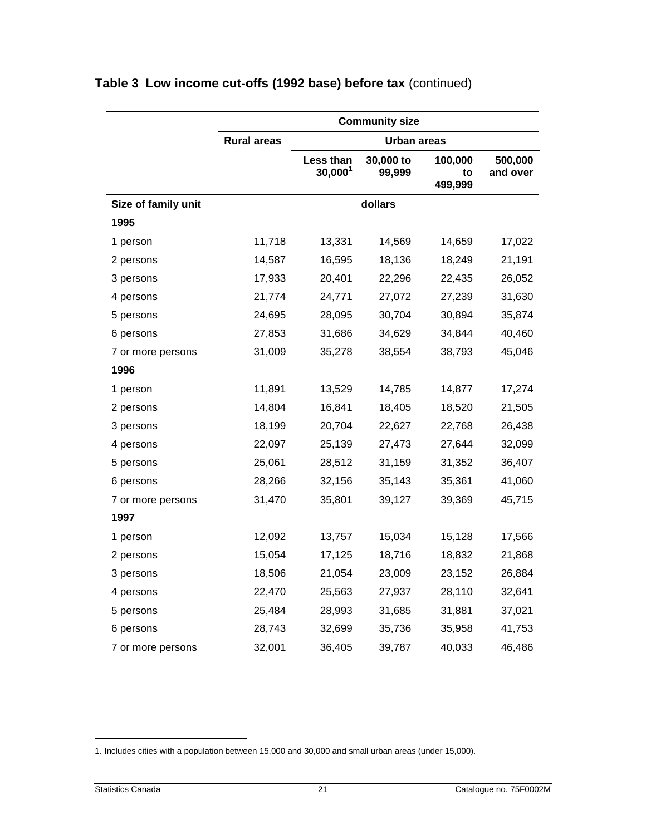|                     |                    |                         | <b>Community size</b> |                          |                     |
|---------------------|--------------------|-------------------------|-----------------------|--------------------------|---------------------|
|                     | <b>Rural areas</b> |                         | <b>Urban areas</b>    |                          |                     |
|                     |                    | Less than<br>$30,000^1$ | 30,000 to<br>99,999   | 100,000<br>to<br>499,999 | 500,000<br>and over |
| Size of family unit |                    |                         | dollars               |                          |                     |
| 1995                |                    |                         |                       |                          |                     |
| 1 person            | 11,718             | 13,331                  | 14,569                | 14,659                   | 17,022              |
| 2 persons           | 14,587             | 16,595                  | 18,136                | 18,249                   | 21,191              |
| 3 persons           | 17,933             | 20,401                  | 22,296                | 22,435                   | 26,052              |
| 4 persons           | 21,774             | 24,771                  | 27,072                | 27,239                   | 31,630              |
| 5 persons           | 24,695             | 28,095                  | 30,704                | 30,894                   | 35,874              |
| 6 persons           | 27,853             | 31,686                  | 34,629                | 34,844                   | 40,460              |
| 7 or more persons   | 31,009             | 35,278                  | 38,554                | 38,793                   | 45,046              |
| 1996                |                    |                         |                       |                          |                     |
| 1 person            | 11,891             | 13,529                  | 14,785                | 14,877                   | 17,274              |
| 2 persons           | 14,804             | 16,841                  | 18,405                | 18,520                   | 21,505              |
| 3 persons           | 18,199             | 20,704                  | 22,627                | 22,768                   | 26,438              |
| 4 persons           | 22,097             | 25,139                  | 27,473                | 27,644                   | 32,099              |
| 5 persons           | 25,061             | 28,512                  | 31,159                | 31,352                   | 36,407              |
| 6 persons           | 28,266             | 32,156                  | 35,143                | 35,361                   | 41,060              |
| 7 or more persons   | 31,470             | 35,801                  | 39,127                | 39,369                   | 45,715              |
| 1997                |                    |                         |                       |                          |                     |
| 1 person            | 12,092             | 13,757                  | 15,034                | 15,128                   | 17,566              |
| 2 persons           | 15,054             | 17,125                  | 18,716                | 18,832                   | 21,868              |
| 3 persons           | 18,506             | 21,054                  | 23,009                | 23,152                   | 26,884              |
| 4 persons           | 22,470             | 25,563                  | 27,937                | 28,110                   | 32,641              |
| 5 persons           | 25,484             | 28,993                  | 31,685                | 31,881                   | 37,021              |
| 6 persons           | 28,743             | 32,699                  | 35,736                | 35,958                   | 41,753              |
| 7 or more persons   | 32,001             | 36,405                  | 39,787                | 40,033                   | 46,486              |

<sup>1.</sup> Includes cities with a population between 15,000 and 30,000 and small urban areas (under 15,000).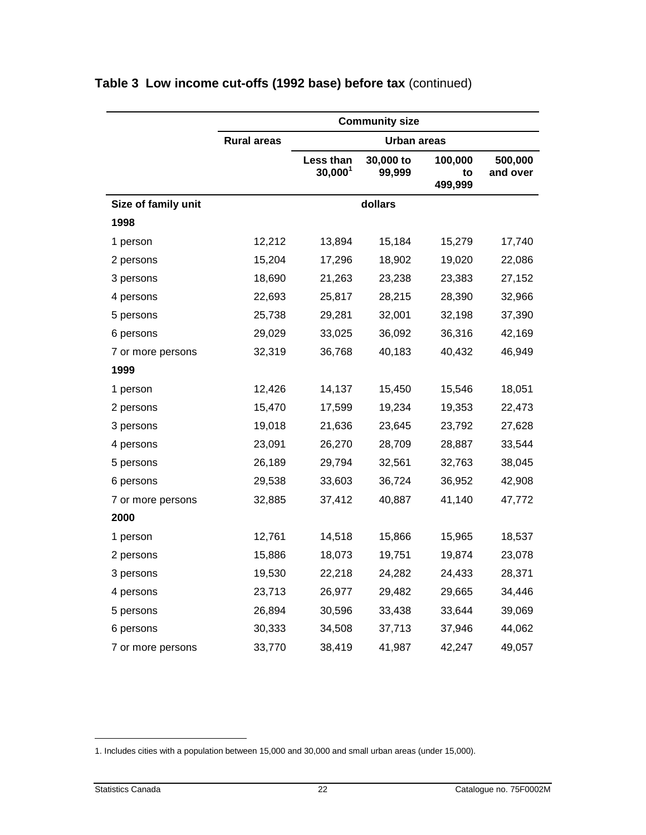|                     | <b>Community size</b> |                         |                     |                          |                     |
|---------------------|-----------------------|-------------------------|---------------------|--------------------------|---------------------|
|                     | <b>Rural areas</b>    |                         | <b>Urban areas</b>  |                          |                     |
|                     |                       | Less than<br>$30,000^1$ | 30,000 to<br>99,999 | 100,000<br>to<br>499,999 | 500,000<br>and over |
| Size of family unit |                       |                         | dollars             |                          |                     |
| 1998                |                       |                         |                     |                          |                     |
| 1 person            | 12,212                | 13,894                  | 15,184              | 15,279                   | 17,740              |
| 2 persons           | 15,204                | 17,296                  | 18,902              | 19,020                   | 22,086              |
| 3 persons           | 18,690                | 21,263                  | 23,238              | 23,383                   | 27,152              |
| 4 persons           | 22,693                | 25,817                  | 28,215              | 28,390                   | 32,966              |
| 5 persons           | 25,738                | 29,281                  | 32,001              | 32,198                   | 37,390              |
| 6 persons           | 29,029                | 33,025                  | 36,092              | 36,316                   | 42,169              |
| 7 or more persons   | 32,319                | 36,768                  | 40,183              | 40,432                   | 46,949              |
| 1999                |                       |                         |                     |                          |                     |
| 1 person            | 12,426                | 14,137                  | 15,450              | 15,546                   | 18,051              |
| 2 persons           | 15,470                | 17,599                  | 19,234              | 19,353                   | 22,473              |
| 3 persons           | 19,018                | 21,636                  | 23,645              | 23,792                   | 27,628              |
| 4 persons           | 23,091                | 26,270                  | 28,709              | 28,887                   | 33,544              |
| 5 persons           | 26,189                | 29,794                  | 32,561              | 32,763                   | 38,045              |
| 6 persons           | 29,538                | 33,603                  | 36,724              | 36,952                   | 42,908              |
| 7 or more persons   | 32,885                | 37,412                  | 40,887              | 41,140                   | 47,772              |
| 2000                |                       |                         |                     |                          |                     |
| 1 person            | 12,761                | 14,518                  | 15,866              | 15,965                   | 18,537              |
| 2 persons           | 15,886                | 18,073                  | 19,751              | 19,874                   | 23,078              |
| 3 persons           | 19,530                | 22,218                  | 24,282              | 24,433                   | 28,371              |
| 4 persons           | 23,713                | 26,977                  | 29,482              | 29,665                   | 34,446              |
| 5 persons           | 26,894                | 30,596                  | 33,438              | 33,644                   | 39,069              |
| 6 persons           | 30,333                | 34,508                  | 37,713              | 37,946                   | 44,062              |
| 7 or more persons   | 33,770                | 38,419                  | 41,987              | 42,247                   | 49,057              |

<sup>1.</sup> Includes cities with a population between 15,000 and 30,000 and small urban areas (under 15,000).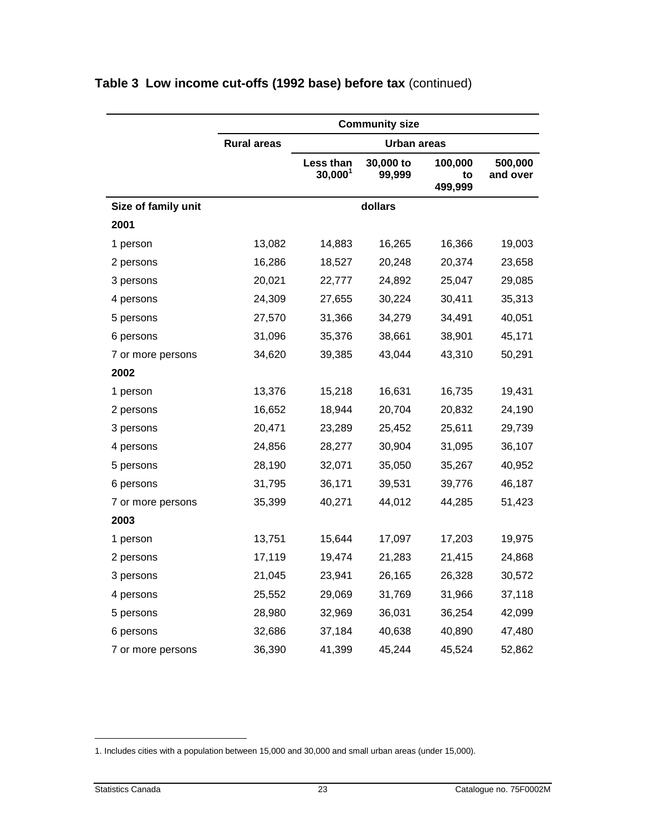|                     |                    |                         | <b>Community size</b> |                          |                     |
|---------------------|--------------------|-------------------------|-----------------------|--------------------------|---------------------|
|                     | <b>Rural areas</b> |                         | <b>Urban areas</b>    |                          |                     |
|                     |                    | Less than<br>$30,000^1$ | 30,000 to<br>99,999   | 100,000<br>to<br>499,999 | 500,000<br>and over |
| Size of family unit |                    |                         | dollars               |                          |                     |
| 2001                |                    |                         |                       |                          |                     |
| 1 person            | 13,082             | 14,883                  | 16,265                | 16,366                   | 19,003              |
| 2 persons           | 16,286             | 18,527                  | 20,248                | 20,374                   | 23,658              |
| 3 persons           | 20,021             | 22,777                  | 24,892                | 25,047                   | 29,085              |
| 4 persons           | 24,309             | 27,655                  | 30,224                | 30,411                   | 35,313              |
| 5 persons           | 27,570             | 31,366                  | 34,279                | 34,491                   | 40,051              |
| 6 persons           | 31,096             | 35,376                  | 38,661                | 38,901                   | 45,171              |
| 7 or more persons   | 34,620             | 39,385                  | 43,044                | 43,310                   | 50,291              |
| 2002                |                    |                         |                       |                          |                     |
| 1 person            | 13,376             | 15,218                  | 16,631                | 16,735                   | 19,431              |
| 2 persons           | 16,652             | 18,944                  | 20,704                | 20,832                   | 24,190              |
| 3 persons           | 20,471             | 23,289                  | 25,452                | 25,611                   | 29,739              |
| 4 persons           | 24,856             | 28,277                  | 30,904                | 31,095                   | 36,107              |
| 5 persons           | 28,190             | 32,071                  | 35,050                | 35,267                   | 40,952              |
| 6 persons           | 31,795             | 36,171                  | 39,531                | 39,776                   | 46,187              |
| 7 or more persons   | 35,399             | 40,271                  | 44,012                | 44,285                   | 51,423              |
| 2003                |                    |                         |                       |                          |                     |
| 1 person            | 13,751             | 15,644                  | 17,097                | 17,203                   | 19,975              |
| 2 persons           | 17,119             | 19,474                  | 21,283                | 21,415                   | 24,868              |
| 3 persons           | 21,045             | 23,941                  | 26,165                | 26,328                   | 30,572              |
| 4 persons           | 25,552             | 29,069                  | 31,769                | 31,966                   | 37,118              |
| 5 persons           | 28,980             | 32,969                  | 36,031                | 36,254                   | 42,099              |
| 6 persons           | 32,686             | 37,184                  | 40,638                | 40,890                   | 47,480              |
| 7 or more persons   | 36,390             | 41,399                  | 45,244                | 45,524                   | 52,862              |

<sup>1.</sup> Includes cities with a population between 15,000 and 30,000 and small urban areas (under 15,000).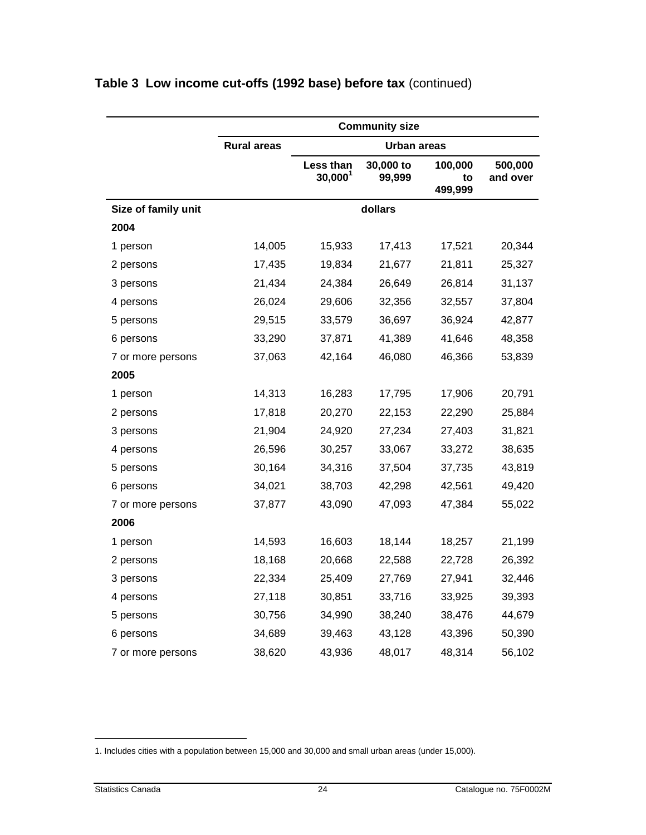|                     |                    |                         | <b>Community size</b> |                          |                     |
|---------------------|--------------------|-------------------------|-----------------------|--------------------------|---------------------|
|                     | <b>Rural areas</b> |                         | <b>Urban areas</b>    |                          |                     |
|                     |                    | Less than<br>$30,000^1$ | 30,000 to<br>99,999   | 100,000<br>to<br>499,999 | 500,000<br>and over |
| Size of family unit |                    |                         | dollars               |                          |                     |
| 2004                |                    |                         |                       |                          |                     |
| 1 person            | 14,005             | 15,933                  | 17,413                | 17,521                   | 20,344              |
| 2 persons           | 17,435             | 19,834                  | 21,677                | 21,811                   | 25,327              |
| 3 persons           | 21,434             | 24,384                  | 26,649                | 26,814                   | 31,137              |
| 4 persons           | 26,024             | 29,606                  | 32,356                | 32,557                   | 37,804              |
| 5 persons           | 29,515             | 33,579                  | 36,697                | 36,924                   | 42,877              |
| 6 persons           | 33,290             | 37,871                  | 41,389                | 41,646                   | 48,358              |
| 7 or more persons   | 37,063             | 42,164                  | 46,080                | 46,366                   | 53,839              |
| 2005                |                    |                         |                       |                          |                     |
| 1 person            | 14,313             | 16,283                  | 17,795                | 17,906                   | 20,791              |
| 2 persons           | 17,818             | 20,270                  | 22,153                | 22,290                   | 25,884              |
| 3 persons           | 21,904             | 24,920                  | 27,234                | 27,403                   | 31,821              |
| 4 persons           | 26,596             | 30,257                  | 33,067                | 33,272                   | 38,635              |
| 5 persons           | 30,164             | 34,316                  | 37,504                | 37,735                   | 43,819              |
| 6 persons           | 34,021             | 38,703                  | 42,298                | 42,561                   | 49,420              |
| 7 or more persons   | 37,877             | 43,090                  | 47,093                | 47,384                   | 55,022              |
| 2006                |                    |                         |                       |                          |                     |
| 1 person            | 14,593             | 16,603                  | 18,144                | 18,257                   | 21,199              |
| 2 persons           | 18,168             | 20,668                  | 22,588                | 22,728                   | 26,392              |
| 3 persons           | 22,334             | 25,409                  | 27,769                | 27,941                   | 32,446              |
| 4 persons           | 27,118             | 30,851                  | 33,716                | 33,925                   | 39,393              |
| 5 persons           | 30,756             | 34,990                  | 38,240                | 38,476                   | 44,679              |
| 6 persons           | 34,689             | 39,463                  | 43,128                | 43,396                   | 50,390              |
| 7 or more persons   | 38,620             | 43,936                  | 48,017                | 48,314                   | 56,102              |

<sup>1.</sup> Includes cities with a population between 15,000 and 30,000 and small urban areas (under 15,000).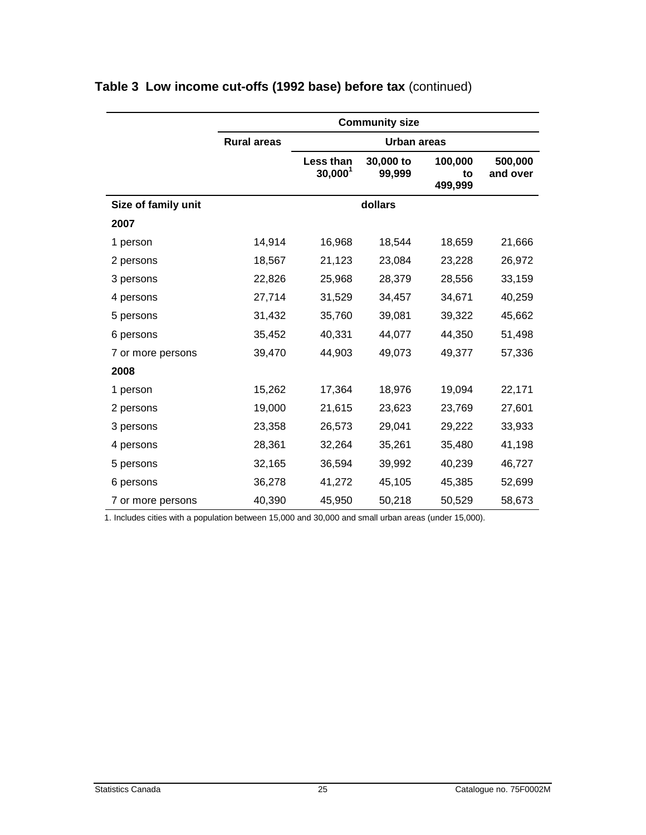|                     |                    |                         | <b>Community size</b> |                          |                     |
|---------------------|--------------------|-------------------------|-----------------------|--------------------------|---------------------|
|                     | <b>Rural areas</b> |                         | Urban areas           |                          |                     |
|                     |                    | Less than<br>$30,000^1$ | 30,000 to<br>99,999   | 100,000<br>to<br>499,999 | 500,000<br>and over |
| Size of family unit |                    |                         | dollars               |                          |                     |
| 2007                |                    |                         |                       |                          |                     |
| 1 person            | 14,914             | 16,968                  | 18,544                | 18,659                   | 21,666              |
| 2 persons           | 18,567             | 21,123                  | 23,084                | 23,228                   | 26,972              |
| 3 persons           | 22,826             | 25,968                  | 28,379                | 28,556                   | 33,159              |
| 4 persons           | 27,714             | 31,529                  | 34,457                | 34,671                   | 40,259              |
| 5 persons           | 31,432             | 35,760                  | 39,081                | 39,322                   | 45,662              |
| 6 persons           | 35,452             | 40,331                  | 44,077                | 44,350                   | 51,498              |
| 7 or more persons   | 39,470             | 44,903                  | 49,073                | 49,377                   | 57,336              |
| 2008                |                    |                         |                       |                          |                     |
| 1 person            | 15,262             | 17,364                  | 18,976                | 19,094                   | 22,171              |
| 2 persons           | 19,000             | 21,615                  | 23,623                | 23,769                   | 27,601              |
| 3 persons           | 23,358             | 26,573                  | 29,041                | 29,222                   | 33,933              |
| 4 persons           | 28,361             | 32,264                  | 35,261                | 35,480                   | 41,198              |
| 5 persons           | 32,165             | 36,594                  | 39,992                | 40,239                   | 46,727              |
| 6 persons           | 36,278             | 41,272                  | 45,105                | 45,385                   | 52,699              |
| 7 or more persons   | 40,390             | 45,950                  | 50,218                | 50,529                   | 58,673              |

1. Includes cities with a population between 15,000 and 30,000 and small urban areas (under 15,000).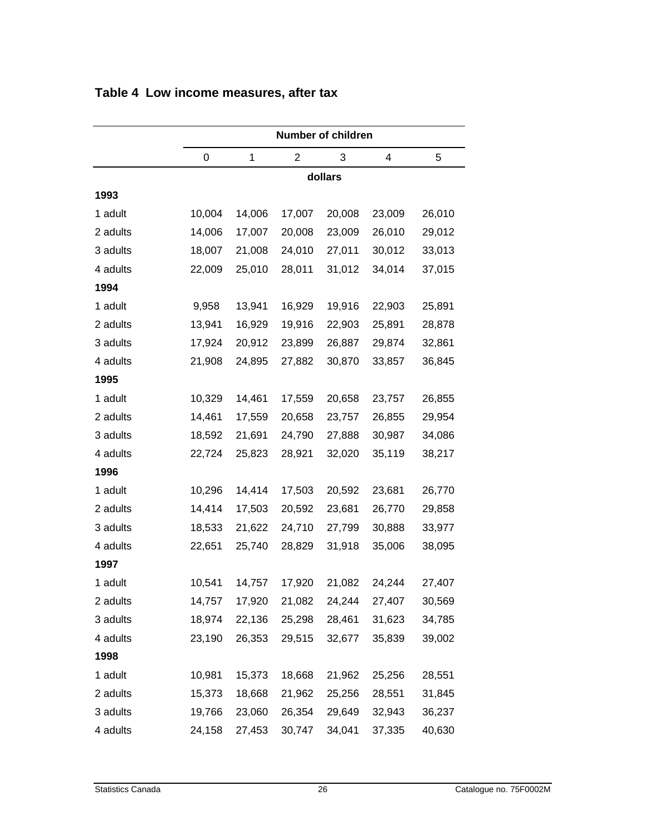|          | <b>Number of children</b> |             |                |        |        |        |  |  |
|----------|---------------------------|-------------|----------------|--------|--------|--------|--|--|
|          | 0                         | $\mathbf 1$ | $\overline{2}$ | 3      | 4      | 5      |  |  |
|          | dollars                   |             |                |        |        |        |  |  |
| 1993     |                           |             |                |        |        |        |  |  |
| 1 adult  | 10,004                    | 14,006      | 17,007         | 20,008 | 23,009 | 26,010 |  |  |
| 2 adults | 14,006                    | 17,007      | 20,008         | 23,009 | 26,010 | 29,012 |  |  |
| 3 adults | 18,007                    | 21,008      | 24,010         | 27,011 | 30,012 | 33,013 |  |  |
| 4 adults | 22,009                    | 25,010      | 28,011         | 31,012 | 34,014 | 37,015 |  |  |
| 1994     |                           |             |                |        |        |        |  |  |
| 1 adult  | 9,958                     | 13,941      | 16,929         | 19,916 | 22,903 | 25,891 |  |  |
| 2 adults | 13,941                    | 16,929      | 19,916         | 22,903 | 25,891 | 28,878 |  |  |
| 3 adults | 17,924                    | 20,912      | 23,899         | 26,887 | 29,874 | 32,861 |  |  |
| 4 adults | 21,908                    | 24,895      | 27,882         | 30,870 | 33,857 | 36,845 |  |  |
| 1995     |                           |             |                |        |        |        |  |  |
| 1 adult  | 10,329                    | 14,461      | 17,559         | 20,658 | 23,757 | 26,855 |  |  |
| 2 adults | 14,461                    | 17,559      | 20,658         | 23,757 | 26,855 | 29,954 |  |  |
| 3 adults | 18,592                    | 21,691      | 24,790         | 27,888 | 30,987 | 34,086 |  |  |
| 4 adults | 22,724                    | 25,823      | 28,921         | 32,020 | 35,119 | 38,217 |  |  |
| 1996     |                           |             |                |        |        |        |  |  |
| 1 adult  | 10,296                    | 14,414      | 17,503         | 20,592 | 23,681 | 26,770 |  |  |
| 2 adults | 14,414                    | 17,503      | 20,592         | 23,681 | 26,770 | 29,858 |  |  |
| 3 adults | 18,533                    | 21,622      | 24,710         | 27,799 | 30,888 | 33,977 |  |  |
| 4 adults | 22,651                    | 25,740      | 28,829         | 31,918 | 35,006 | 38,095 |  |  |
| 1997     |                           |             |                |        |        |        |  |  |
| 1 adult  | 10,541                    | 14,757      | 17,920         | 21,082 | 24,244 | 27,407 |  |  |
| 2 adults | 14,757                    | 17,920      | 21,082         | 24,244 | 27,407 | 30,569 |  |  |
| 3 adults | 18,974                    | 22,136      | 25,298         | 28,461 | 31,623 | 34,785 |  |  |
| 4 adults | 23,190                    | 26,353      | 29,515         | 32,677 | 35,839 | 39,002 |  |  |
| 1998     |                           |             |                |        |        |        |  |  |
| 1 adult  | 10,981                    | 15,373      | 18,668         | 21,962 | 25,256 | 28,551 |  |  |
| 2 adults | 15,373                    | 18,668      | 21,962         | 25,256 | 28,551 | 31,845 |  |  |
| 3 adults | 19,766                    | 23,060      | 26,354         | 29,649 | 32,943 | 36,237 |  |  |
| 4 adults | 24,158                    | 27,453      | 30,747         | 34,041 | 37,335 | 40,630 |  |  |

#### <span id="page-25-0"></span>**Table 4 Low income measures, after tax**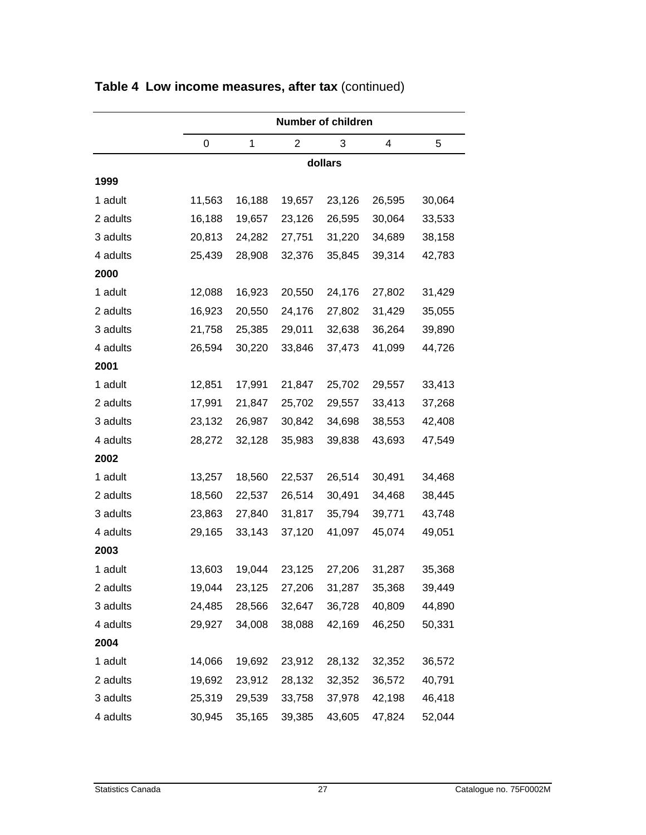|          |        | <b>Number of children</b> |                |        |        |        |  |  |  |
|----------|--------|---------------------------|----------------|--------|--------|--------|--|--|--|
|          | 0      | 1                         | $\overline{2}$ | 3      | 4      | 5      |  |  |  |
|          |        | dollars                   |                |        |        |        |  |  |  |
| 1999     |        |                           |                |        |        |        |  |  |  |
| 1 adult  | 11,563 | 16,188                    | 19,657         | 23,126 | 26,595 | 30,064 |  |  |  |
| 2 adults | 16,188 | 19,657                    | 23,126         | 26,595 | 30,064 | 33,533 |  |  |  |
| 3 adults | 20,813 | 24,282                    | 27,751         | 31,220 | 34,689 | 38,158 |  |  |  |
| 4 adults | 25,439 | 28,908                    | 32,376         | 35,845 | 39,314 | 42,783 |  |  |  |
| 2000     |        |                           |                |        |        |        |  |  |  |
| 1 adult  | 12,088 | 16,923                    | 20,550         | 24,176 | 27,802 | 31,429 |  |  |  |
| 2 adults | 16,923 | 20,550                    | 24,176         | 27,802 | 31,429 | 35,055 |  |  |  |
| 3 adults | 21,758 | 25,385                    | 29,011         | 32,638 | 36,264 | 39,890 |  |  |  |
| 4 adults | 26,594 | 30,220                    | 33,846         | 37,473 | 41,099 | 44,726 |  |  |  |
| 2001     |        |                           |                |        |        |        |  |  |  |
| 1 adult  | 12,851 | 17,991                    | 21,847         | 25,702 | 29,557 | 33,413 |  |  |  |
| 2 adults | 17,991 | 21,847                    | 25,702         | 29,557 | 33,413 | 37,268 |  |  |  |
| 3 adults | 23,132 | 26,987                    | 30,842         | 34,698 | 38,553 | 42,408 |  |  |  |
| 4 adults | 28,272 | 32,128                    | 35,983         | 39,838 | 43,693 | 47,549 |  |  |  |
| 2002     |        |                           |                |        |        |        |  |  |  |
| 1 adult  | 13,257 | 18,560                    | 22,537         | 26,514 | 30,491 | 34,468 |  |  |  |
| 2 adults | 18,560 | 22,537                    | 26,514         | 30,491 | 34,468 | 38,445 |  |  |  |
| 3 adults | 23,863 | 27,840                    | 31,817         | 35,794 | 39,771 | 43,748 |  |  |  |
| 4 adults | 29,165 | 33,143                    | 37,120         | 41,097 | 45,074 | 49,051 |  |  |  |
| 2003     |        |                           |                |        |        |        |  |  |  |
| 1 adult  | 13,603 | 19,044                    | 23,125         | 27,206 | 31,287 | 35,368 |  |  |  |
| 2 adults | 19,044 | 23,125                    | 27,206         | 31,287 | 35,368 | 39,449 |  |  |  |
| 3 adults | 24,485 | 28,566                    | 32,647         | 36,728 | 40,809 | 44,890 |  |  |  |
| 4 adults | 29,927 | 34,008                    | 38,088         | 42,169 | 46,250 | 50,331 |  |  |  |
| 2004     |        |                           |                |        |        |        |  |  |  |
| 1 adult  | 14,066 | 19,692                    | 23,912         | 28,132 | 32,352 | 36,572 |  |  |  |
| 2 adults | 19,692 | 23,912                    | 28,132         | 32,352 | 36,572 | 40,791 |  |  |  |
| 3 adults | 25,319 | 29,539                    | 33,758         | 37,978 | 42,198 | 46,418 |  |  |  |
| 4 adults | 30,945 | 35,165                    | 39,385         | 43,605 | 47,824 | 52,044 |  |  |  |

**Table 4 Low income measures, after tax** (continued)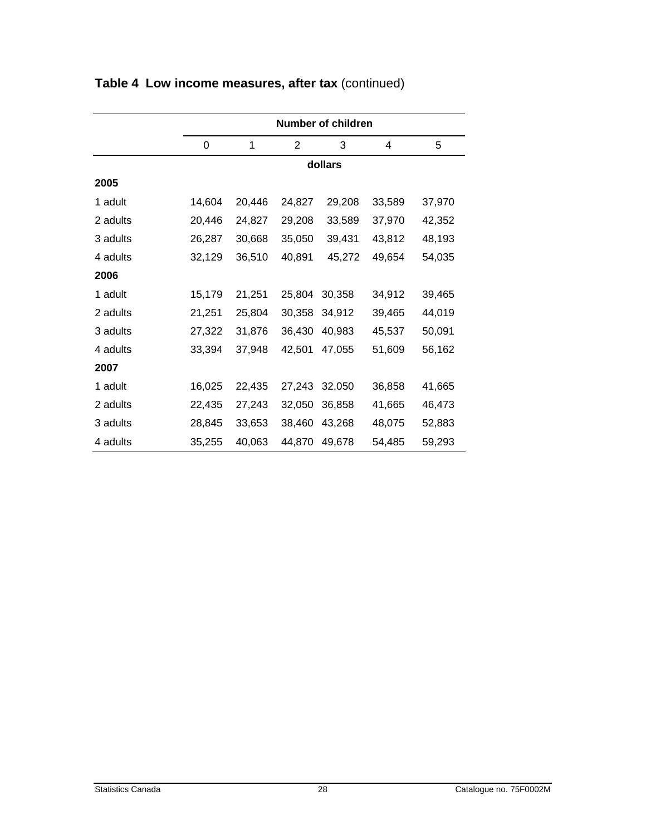|          | Number of children |        |                |         |        |        |  |
|----------|--------------------|--------|----------------|---------|--------|--------|--|
|          | $\Omega$           | 1      | $\overline{2}$ | 3       | 4      | 5      |  |
|          |                    |        |                | dollars |        |        |  |
| 2005     |                    |        |                |         |        |        |  |
| 1 adult  | 14,604             | 20,446 | 24,827         | 29,208  | 33,589 | 37,970 |  |
| 2 adults | 20,446             | 24,827 | 29,208         | 33,589  | 37,970 | 42,352 |  |
| 3 adults | 26,287             | 30,668 | 35,050         | 39,431  | 43,812 | 48,193 |  |
| 4 adults | 32,129             | 36,510 | 40,891         | 45,272  | 49,654 | 54,035 |  |
| 2006     |                    |        |                |         |        |        |  |
| 1 adult  | 15,179             | 21,251 | 25,804         | 30,358  | 34,912 | 39,465 |  |
| 2 adults | 21,251             | 25,804 | 30,358         | 34,912  | 39,465 | 44,019 |  |
| 3 adults | 27,322             | 31,876 | 36,430         | 40,983  | 45,537 | 50,091 |  |
| 4 adults | 33,394             | 37,948 | 42,501         | 47,055  | 51,609 | 56,162 |  |
| 2007     |                    |        |                |         |        |        |  |
| 1 adult  | 16,025             | 22,435 | 27,243         | 32,050  | 36,858 | 41,665 |  |
| 2 adults | 22,435             | 27,243 | 32,050         | 36,858  | 41,665 | 46,473 |  |
| 3 adults | 28,845             | 33,653 | 38,460         | 43,268  | 48,075 | 52,883 |  |
| 4 adults | 35,255             | 40,063 | 44,870         | 49,678  | 54,485 | 59,293 |  |

### **Table 4 Low income measures, after tax** (continued)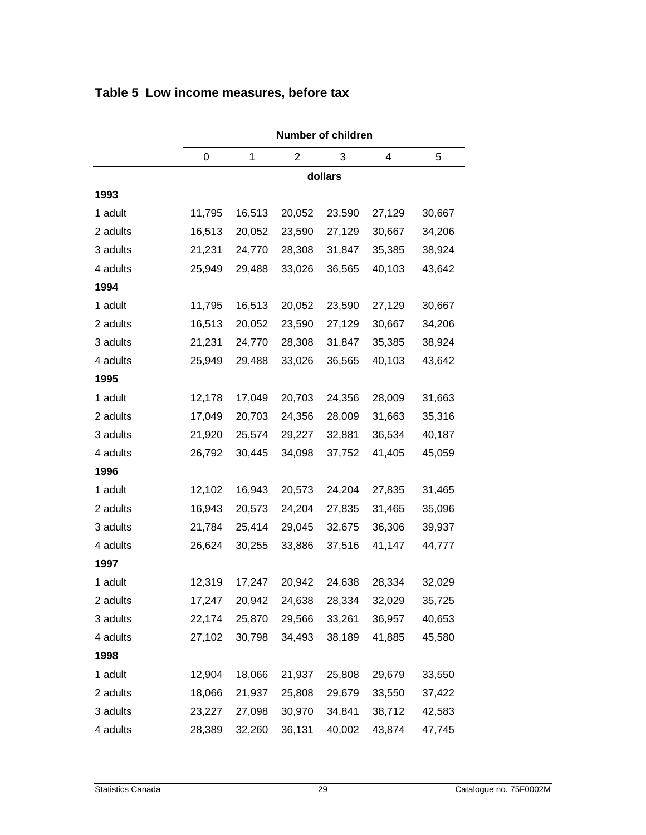|          | <b>Number of children</b> |        |        |        |        |        |  |  |
|----------|---------------------------|--------|--------|--------|--------|--------|--|--|
|          | 0                         | 1      | 2      | 3      | 4      | 5      |  |  |
|          | dollars                   |        |        |        |        |        |  |  |
| 1993     |                           |        |        |        |        |        |  |  |
| 1 adult  | 11,795                    | 16,513 | 20,052 | 23,590 | 27,129 | 30,667 |  |  |
| 2 adults | 16,513                    | 20,052 | 23,590 | 27,129 | 30,667 | 34,206 |  |  |
| 3 adults | 21,231                    | 24,770 | 28,308 | 31,847 | 35,385 | 38,924 |  |  |
| 4 adults | 25,949                    | 29,488 | 33,026 | 36,565 | 40,103 | 43,642 |  |  |
| 1994     |                           |        |        |        |        |        |  |  |
| 1 adult  | 11,795                    | 16,513 | 20,052 | 23,590 | 27,129 | 30,667 |  |  |
| 2 adults | 16,513                    | 20,052 | 23,590 | 27,129 | 30,667 | 34,206 |  |  |
| 3 adults | 21,231                    | 24,770 | 28,308 | 31,847 | 35,385 | 38,924 |  |  |
| 4 adults | 25,949                    | 29,488 | 33,026 | 36,565 | 40,103 | 43,642 |  |  |
| 1995     |                           |        |        |        |        |        |  |  |
| 1 adult  | 12,178                    | 17,049 | 20,703 | 24,356 | 28,009 | 31,663 |  |  |
| 2 adults | 17,049                    | 20,703 | 24,356 | 28,009 | 31,663 | 35,316 |  |  |
| 3 adults | 21,920                    | 25,574 | 29,227 | 32,881 | 36,534 | 40,187 |  |  |
| 4 adults | 26,792                    | 30,445 | 34,098 | 37,752 | 41,405 | 45,059 |  |  |
| 1996     |                           |        |        |        |        |        |  |  |
| 1 adult  | 12,102                    | 16,943 | 20,573 | 24,204 | 27,835 | 31,465 |  |  |
| 2 adults | 16,943                    | 20,573 | 24,204 | 27,835 | 31,465 | 35,096 |  |  |
| 3 adults | 21,784                    | 25,414 | 29,045 | 32,675 | 36,306 | 39,937 |  |  |
| 4 adults | 26,624                    | 30,255 | 33,886 | 37,516 | 41,147 | 44,777 |  |  |
| 1997     |                           |        |        |        |        |        |  |  |
| 1 adult  | 12,319                    | 17,247 | 20,942 | 24,638 | 28,334 | 32,029 |  |  |
| 2 adults | 17,247                    | 20,942 | 24,638 | 28,334 | 32,029 | 35,725 |  |  |
| 3 adults | 22,174                    | 25,870 | 29,566 | 33,261 | 36,957 | 40,653 |  |  |
| 4 adults | 27,102                    | 30,798 | 34,493 | 38,189 | 41,885 | 45,580 |  |  |
| 1998     |                           |        |        |        |        |        |  |  |
| 1 adult  | 12,904                    | 18,066 | 21,937 | 25,808 | 29,679 | 33,550 |  |  |
| 2 adults | 18,066                    | 21,937 | 25,808 | 29,679 | 33,550 | 37,422 |  |  |
| 3 adults | 23,227                    | 27,098 | 30,970 | 34,841 | 38,712 | 42,583 |  |  |
| 4 adults | 28,389                    | 32,260 | 36,131 | 40,002 | 43,874 | 47,745 |  |  |

#### <span id="page-28-0"></span>**Table 5 Low income measures, before tax**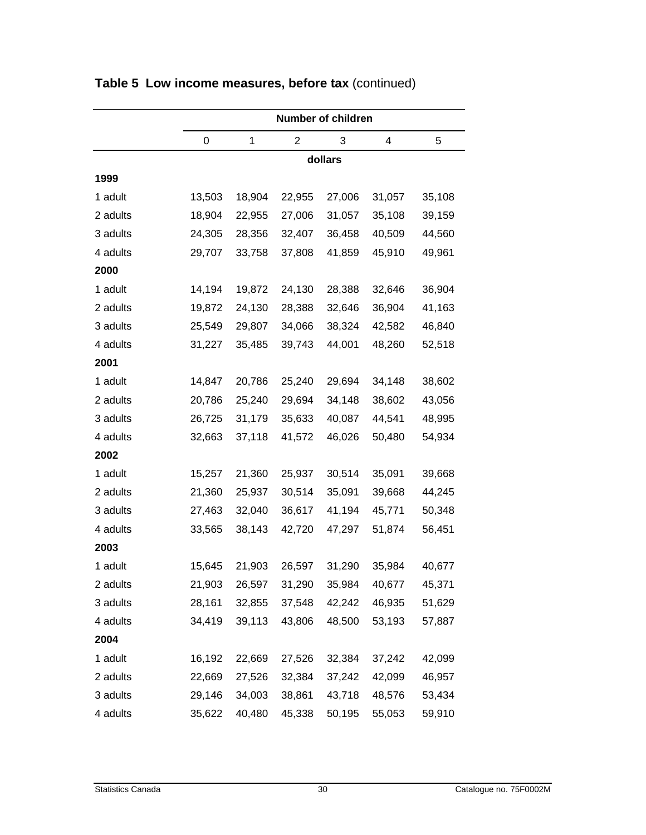|          | <b>Number of children</b> |        |        |        |        |        |  |  |
|----------|---------------------------|--------|--------|--------|--------|--------|--|--|
|          | 0                         | 1      | 2      | 3      | 4      | 5      |  |  |
|          | dollars                   |        |        |        |        |        |  |  |
| 1999     |                           |        |        |        |        |        |  |  |
| 1 adult  | 13,503                    | 18,904 | 22,955 | 27,006 | 31,057 | 35,108 |  |  |
| 2 adults | 18,904                    | 22,955 | 27,006 | 31,057 | 35,108 | 39,159 |  |  |
| 3 adults | 24,305                    | 28,356 | 32,407 | 36,458 | 40,509 | 44,560 |  |  |
| 4 adults | 29,707                    | 33,758 | 37,808 | 41,859 | 45,910 | 49,961 |  |  |
| 2000     |                           |        |        |        |        |        |  |  |
| 1 adult  | 14,194                    | 19,872 | 24,130 | 28,388 | 32,646 | 36,904 |  |  |
| 2 adults | 19,872                    | 24,130 | 28,388 | 32,646 | 36,904 | 41,163 |  |  |
| 3 adults | 25,549                    | 29,807 | 34,066 | 38,324 | 42,582 | 46,840 |  |  |
| 4 adults | 31,227                    | 35,485 | 39,743 | 44,001 | 48,260 | 52,518 |  |  |
| 2001     |                           |        |        |        |        |        |  |  |
| 1 adult  | 14,847                    | 20,786 | 25,240 | 29,694 | 34,148 | 38,602 |  |  |
| 2 adults | 20,786                    | 25,240 | 29,694 | 34,148 | 38,602 | 43,056 |  |  |
| 3 adults | 26,725                    | 31,179 | 35,633 | 40,087 | 44,541 | 48,995 |  |  |
| 4 adults | 32,663                    | 37,118 | 41,572 | 46,026 | 50,480 | 54,934 |  |  |
| 2002     |                           |        |        |        |        |        |  |  |
| 1 adult  | 15,257                    | 21,360 | 25,937 | 30,514 | 35,091 | 39,668 |  |  |
| 2 adults | 21,360                    | 25,937 | 30,514 | 35,091 | 39,668 | 44,245 |  |  |
| 3 adults | 27,463                    | 32,040 | 36,617 | 41,194 | 45,771 | 50,348 |  |  |
| 4 adults | 33,565                    | 38,143 | 42,720 | 47,297 | 51,874 | 56,451 |  |  |
| 2003     |                           |        |        |        |        |        |  |  |
| 1 adult  | 15,645                    | 21,903 | 26,597 | 31,290 | 35,984 | 40,677 |  |  |
| 2 adults | 21,903                    | 26,597 | 31,290 | 35,984 | 40,677 | 45,371 |  |  |
| 3 adults | 28,161                    | 32,855 | 37,548 | 42,242 | 46,935 | 51,629 |  |  |
| 4 adults | 34,419                    | 39,113 | 43,806 | 48,500 | 53,193 | 57,887 |  |  |
| 2004     |                           |        |        |        |        |        |  |  |
| 1 adult  | 16,192                    | 22,669 | 27,526 | 32,384 | 37,242 | 42,099 |  |  |
| 2 adults | 22,669                    | 27,526 | 32,384 | 37,242 | 42,099 | 46,957 |  |  |
| 3 adults | 29,146                    | 34,003 | 38,861 | 43,718 | 48,576 | 53,434 |  |  |
| 4 adults | 35,622                    | 40,480 | 45,338 | 50,195 | 55,053 | 59,910 |  |  |

**Table 5 Low income measures, before tax** (continued)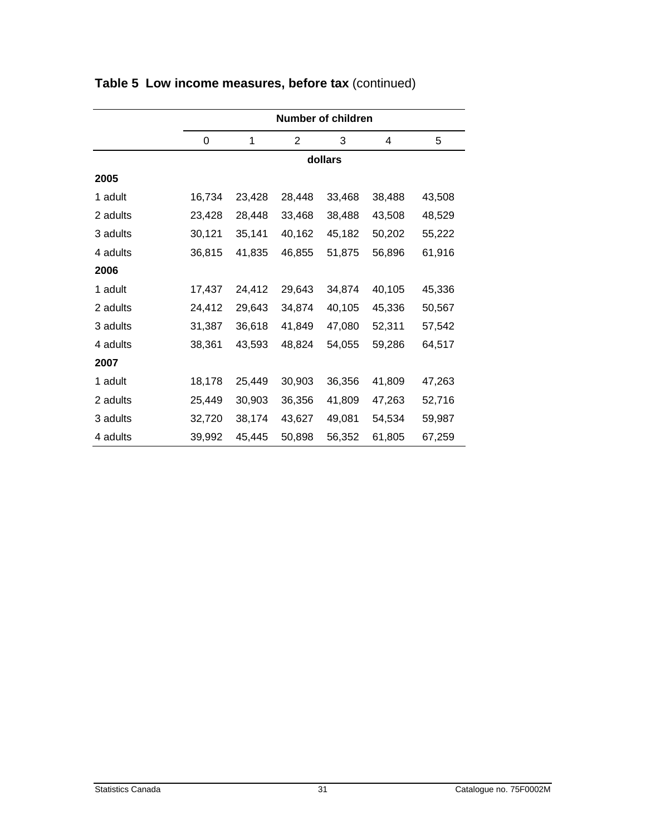|          | <b>Number of children</b> |        |        |        |        |        |  |  |
|----------|---------------------------|--------|--------|--------|--------|--------|--|--|
|          | 0                         | 1      | 2      | 3      | 4      | 5      |  |  |
|          | dollars                   |        |        |        |        |        |  |  |
| 2005     |                           |        |        |        |        |        |  |  |
| 1 adult  | 16,734                    | 23,428 | 28,448 | 33,468 | 38,488 | 43,508 |  |  |
| 2 adults | 23,428                    | 28,448 | 33,468 | 38,488 | 43,508 | 48,529 |  |  |
| 3 adults | 30,121                    | 35,141 | 40,162 | 45,182 | 50,202 | 55,222 |  |  |
| 4 adults | 36,815                    | 41,835 | 46,855 | 51,875 | 56,896 | 61,916 |  |  |
| 2006     |                           |        |        |        |        |        |  |  |
| 1 adult  | 17,437                    | 24,412 | 29,643 | 34,874 | 40,105 | 45,336 |  |  |
| 2 adults | 24,412                    | 29,643 | 34,874 | 40,105 | 45,336 | 50,567 |  |  |
| 3 adults | 31,387                    | 36,618 | 41,849 | 47,080 | 52,311 | 57,542 |  |  |
| 4 adults | 38,361                    | 43,593 | 48,824 | 54,055 | 59,286 | 64,517 |  |  |
| 2007     |                           |        |        |        |        |        |  |  |
| 1 adult  | 18,178                    | 25,449 | 30,903 | 36,356 | 41,809 | 47,263 |  |  |
| 2 adults | 25,449                    | 30,903 | 36,356 | 41,809 | 47,263 | 52,716 |  |  |
| 3 adults | 32,720                    | 38,174 | 43,627 | 49,081 | 54,534 | 59,987 |  |  |
| 4 adults | 39,992                    | 45,445 | 50,898 | 56,352 | 61,805 | 67,259 |  |  |

### **Table 5 Low income measures, before tax** (continued)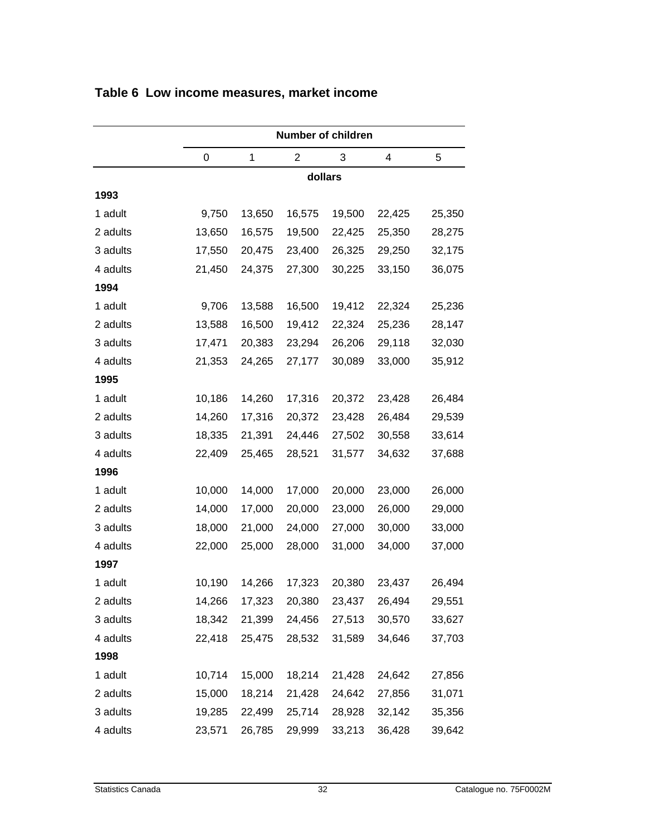|          | Number of children |        |                |        |        |        |  |  |
|----------|--------------------|--------|----------------|--------|--------|--------|--|--|
|          | 0                  | 1      | $\overline{2}$ | 3      | 4      | 5      |  |  |
|          | dollars            |        |                |        |        |        |  |  |
| 1993     |                    |        |                |        |        |        |  |  |
| 1 adult  | 9,750              | 13,650 | 16,575         | 19,500 | 22,425 | 25,350 |  |  |
| 2 adults | 13,650             | 16,575 | 19,500         | 22,425 | 25,350 | 28,275 |  |  |
| 3 adults | 17,550             | 20,475 | 23,400         | 26,325 | 29,250 | 32,175 |  |  |
| 4 adults | 21,450             | 24,375 | 27,300         | 30,225 | 33,150 | 36,075 |  |  |
| 1994     |                    |        |                |        |        |        |  |  |
| 1 adult  | 9,706              | 13,588 | 16,500         | 19,412 | 22,324 | 25,236 |  |  |
| 2 adults | 13,588             | 16,500 | 19,412         | 22,324 | 25,236 | 28,147 |  |  |
| 3 adults | 17,471             | 20,383 | 23,294         | 26,206 | 29,118 | 32,030 |  |  |
| 4 adults | 21,353             | 24,265 | 27,177         | 30,089 | 33,000 | 35,912 |  |  |
| 1995     |                    |        |                |        |        |        |  |  |
| 1 adult  | 10,186             | 14,260 | 17,316         | 20,372 | 23,428 | 26,484 |  |  |
| 2 adults | 14,260             | 17,316 | 20,372         | 23,428 | 26,484 | 29,539 |  |  |
| 3 adults | 18,335             | 21,391 | 24,446         | 27,502 | 30,558 | 33,614 |  |  |
| 4 adults | 22,409             | 25,465 | 28,521         | 31,577 | 34,632 | 37,688 |  |  |
| 1996     |                    |        |                |        |        |        |  |  |
| 1 adult  | 10,000             | 14,000 | 17,000         | 20,000 | 23,000 | 26,000 |  |  |
| 2 adults | 14,000             | 17,000 | 20,000         | 23,000 | 26,000 | 29,000 |  |  |
| 3 adults | 18,000             | 21,000 | 24,000         | 27,000 | 30,000 | 33,000 |  |  |
| 4 adults | 22,000             | 25,000 | 28,000         | 31,000 | 34,000 | 37,000 |  |  |
| 1997     |                    |        |                |        |        |        |  |  |
| 1 adult  | 10,190             | 14,266 | 17,323         | 20,380 | 23,437 | 26,494 |  |  |
| 2 adults | 14,266             | 17,323 | 20,380         | 23,437 | 26,494 | 29,551 |  |  |
| 3 adults | 18,342             | 21,399 | 24,456         | 27,513 | 30,570 | 33,627 |  |  |
| 4 adults | 22,418             | 25,475 | 28,532         | 31,589 | 34,646 | 37,703 |  |  |
| 1998     |                    |        |                |        |        |        |  |  |
| 1 adult  | 10,714             | 15,000 | 18,214         | 21,428 | 24,642 | 27,856 |  |  |
| 2 adults | 15,000             | 18,214 | 21,428         | 24,642 | 27,856 | 31,071 |  |  |
| 3 adults | 19,285             | 22,499 | 25,714         | 28,928 | 32,142 | 35,356 |  |  |
| 4 adults | 23,571             | 26,785 | 29,999         | 33,213 | 36,428 | 39,642 |  |  |

#### <span id="page-31-0"></span>**Table 6 Low income measures, market income**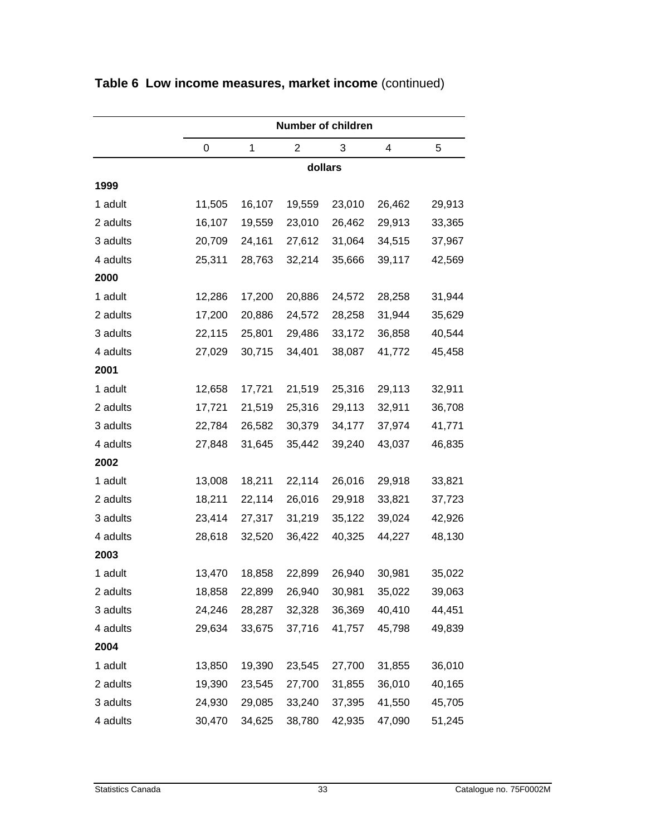|          | <b>Number of children</b> |        |                |        |        |        |  |  |
|----------|---------------------------|--------|----------------|--------|--------|--------|--|--|
|          | 0                         | 1      | $\overline{2}$ | 3      | 4      | 5      |  |  |
|          | dollars                   |        |                |        |        |        |  |  |
| 1999     |                           |        |                |        |        |        |  |  |
| 1 adult  | 11,505                    | 16,107 | 19,559         | 23,010 | 26,462 | 29,913 |  |  |
| 2 adults | 16,107                    | 19,559 | 23,010         | 26,462 | 29,913 | 33,365 |  |  |
| 3 adults | 20,709                    | 24,161 | 27,612         | 31,064 | 34,515 | 37,967 |  |  |
| 4 adults | 25,311                    | 28,763 | 32,214         | 35,666 | 39,117 | 42,569 |  |  |
| 2000     |                           |        |                |        |        |        |  |  |
| 1 adult  | 12,286                    | 17,200 | 20,886         | 24,572 | 28,258 | 31,944 |  |  |
| 2 adults | 17,200                    | 20,886 | 24,572         | 28,258 | 31,944 | 35,629 |  |  |
| 3 adults | 22,115                    | 25,801 | 29,486         | 33,172 | 36,858 | 40,544 |  |  |
| 4 adults | 27,029                    | 30,715 | 34,401         | 38,087 | 41,772 | 45,458 |  |  |
| 2001     |                           |        |                |        |        |        |  |  |
| 1 adult  | 12,658                    | 17,721 | 21,519         | 25,316 | 29,113 | 32,911 |  |  |
| 2 adults | 17,721                    | 21,519 | 25,316         | 29,113 | 32,911 | 36,708 |  |  |
| 3 adults | 22,784                    | 26,582 | 30,379         | 34,177 | 37,974 | 41,771 |  |  |
| 4 adults | 27,848                    | 31,645 | 35,442         | 39,240 | 43,037 | 46,835 |  |  |
| 2002     |                           |        |                |        |        |        |  |  |
| 1 adult  | 13,008                    | 18,211 | 22,114         | 26,016 | 29,918 | 33,821 |  |  |
| 2 adults | 18,211                    | 22,114 | 26,016         | 29,918 | 33,821 | 37,723 |  |  |
| 3 adults | 23,414                    | 27,317 | 31,219         | 35,122 | 39,024 | 42,926 |  |  |
| 4 adults | 28,618                    | 32,520 | 36,422         | 40,325 | 44,227 | 48,130 |  |  |
| 2003     |                           |        |                |        |        |        |  |  |
| 1 adult  | 13,470                    | 18,858 | 22,899         | 26,940 | 30,981 | 35,022 |  |  |
| 2 adults | 18,858                    | 22,899 | 26,940         | 30,981 | 35,022 | 39,063 |  |  |
| 3 adults | 24,246                    | 28,287 | 32,328         | 36,369 | 40,410 | 44,451 |  |  |
| 4 adults | 29,634                    | 33,675 | 37,716         | 41,757 | 45,798 | 49,839 |  |  |
| 2004     |                           |        |                |        |        |        |  |  |
| 1 adult  | 13,850                    | 19,390 | 23,545         | 27,700 | 31,855 | 36,010 |  |  |
| 2 adults | 19,390                    | 23,545 | 27,700         | 31,855 | 36,010 | 40,165 |  |  |
| 3 adults | 24,930                    | 29,085 | 33,240         | 37,395 | 41,550 | 45,705 |  |  |
| 4 adults | 30,470                    | 34,625 | 38,780         | 42,935 | 47,090 | 51,245 |  |  |

### **Table 6 Low income measures, market income** (continued)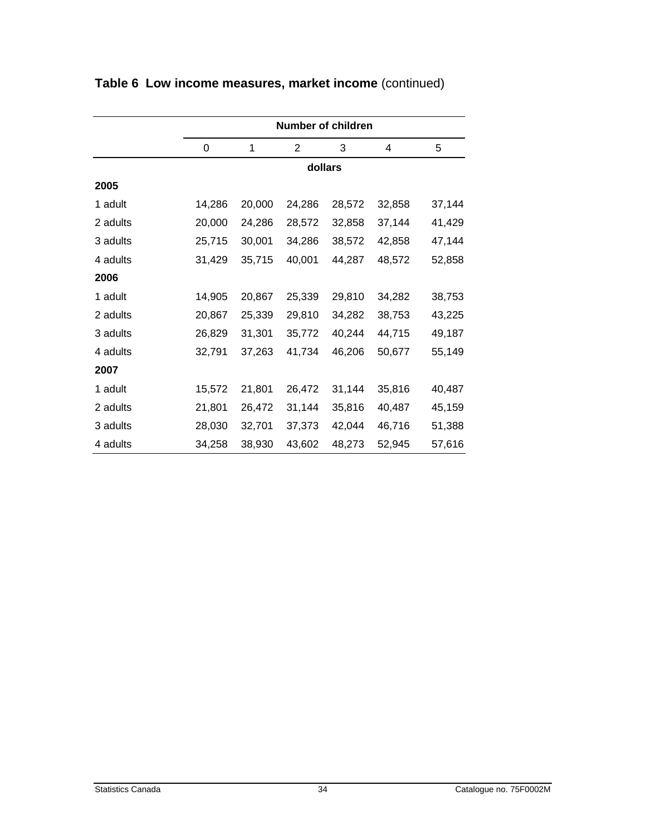|          | <b>Number of children</b> |         |                |        |        |        |  |  |  |  |
|----------|---------------------------|---------|----------------|--------|--------|--------|--|--|--|--|
|          | $\Omega$                  | 1       | $\overline{2}$ | 3      | 4      | 5      |  |  |  |  |
|          |                           | dollars |                |        |        |        |  |  |  |  |
| 2005     |                           |         |                |        |        |        |  |  |  |  |
| 1 adult  | 14,286                    | 20,000  | 24,286         | 28,572 | 32,858 | 37,144 |  |  |  |  |
| 2 adults | 20,000                    | 24,286  | 28,572         | 32,858 | 37,144 | 41,429 |  |  |  |  |
| 3 adults | 25,715                    | 30,001  | 34,286         | 38,572 | 42,858 | 47,144 |  |  |  |  |
| 4 adults | 31,429                    | 35,715  | 40,001         | 44,287 | 48,572 | 52,858 |  |  |  |  |
| 2006     |                           |         |                |        |        |        |  |  |  |  |
| 1 adult  | 14,905                    | 20,867  | 25,339         | 29,810 | 34,282 | 38,753 |  |  |  |  |
| 2 adults | 20,867                    | 25,339  | 29,810         | 34,282 | 38,753 | 43,225 |  |  |  |  |
| 3 adults | 26,829                    | 31,301  | 35,772         | 40,244 | 44,715 | 49,187 |  |  |  |  |
| 4 adults | 32,791                    | 37,263  | 41,734         | 46,206 | 50,677 | 55,149 |  |  |  |  |
| 2007     |                           |         |                |        |        |        |  |  |  |  |
| 1 adult  | 15,572                    | 21,801  | 26,472         | 31,144 | 35,816 | 40,487 |  |  |  |  |
| 2 adults | 21,801                    | 26,472  | 31,144         | 35,816 | 40,487 | 45,159 |  |  |  |  |
| 3 adults | 28,030                    | 32,701  | 37,373         | 42,044 | 46,716 | 51,388 |  |  |  |  |
| 4 adults | 34,258                    | 38,930  | 43,602         | 48,273 | 52,945 | 57,616 |  |  |  |  |

### **Table 6 Low income measures, market income** (continued)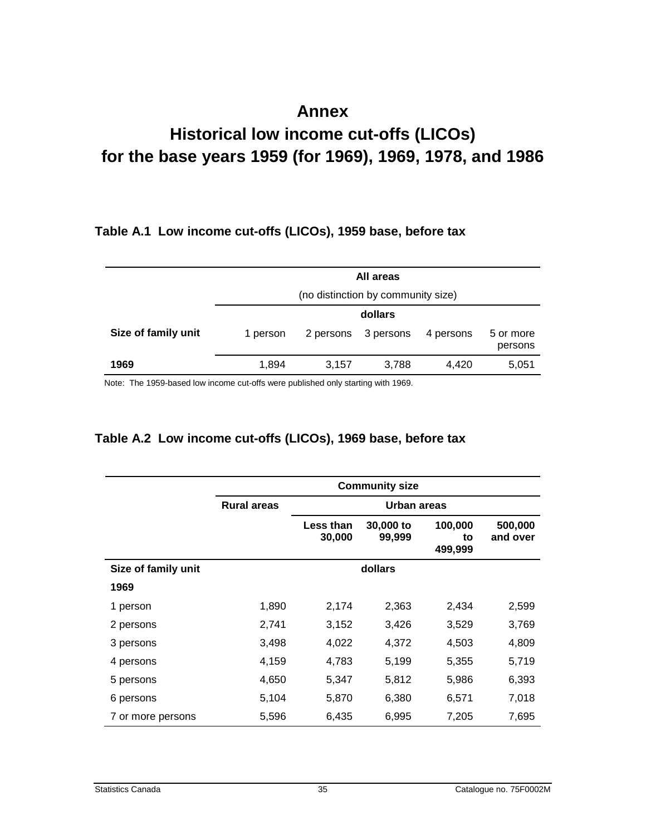## **Annex**

# <span id="page-34-0"></span>**Historical low income cut-offs (LICOs) for the base years 1959 (for 1969), 1969, 1978, and 1986**

#### **Table A.1 Low income cut-offs (LICOs), 1959 base, before tax**

|                     | All areas                          |           |           |           |                      |  |
|---------------------|------------------------------------|-----------|-----------|-----------|----------------------|--|
|                     | (no distinction by community size) |           |           |           |                      |  |
|                     | dollars                            |           |           |           |                      |  |
| Size of family unit | 1 person                           | 2 persons | 3 persons | 4 persons | 5 or more<br>persons |  |
| 1969                | 1,894                              | 3,157     | 3,788     | 4,420     | 5,051                |  |

Note: The 1959-based low income cut-offs were published only starting with 1969.

#### **Table A.2 Low income cut-offs (LICOs), 1969 base, before tax**

|                     | <b>Community size</b> |                            |                     |                          |                     |  |  |
|---------------------|-----------------------|----------------------------|---------------------|--------------------------|---------------------|--|--|
|                     | <b>Rural areas</b>    | <b>Urban areas</b>         |                     |                          |                     |  |  |
|                     |                       | <b>Less than</b><br>30,000 | 30,000 to<br>99,999 | 100,000<br>to<br>499,999 | 500,000<br>and over |  |  |
| Size of family unit |                       | dollars                    |                     |                          |                     |  |  |
| 1969                |                       |                            |                     |                          |                     |  |  |
| 1 person            | 1,890                 | 2,174                      | 2,363               | 2,434                    | 2,599               |  |  |
| 2 persons           | 2,741                 | 3,152                      | 3,426               | 3,529                    | 3,769               |  |  |
| 3 persons           | 3,498                 | 4,022                      | 4,372               | 4,503                    | 4,809               |  |  |
| 4 persons           | 4,159                 | 4,783                      | 5,199               | 5,355                    | 5,719               |  |  |
| 5 persons           | 4,650                 | 5,347                      | 5,812               | 5,986                    | 6,393               |  |  |
| 6 persons           | 5,104                 | 5,870                      | 6,380               | 6,571                    | 7,018               |  |  |
| 7 or more persons   | 5,596                 | 6,435                      | 6,995               | 7,205                    | 7,695               |  |  |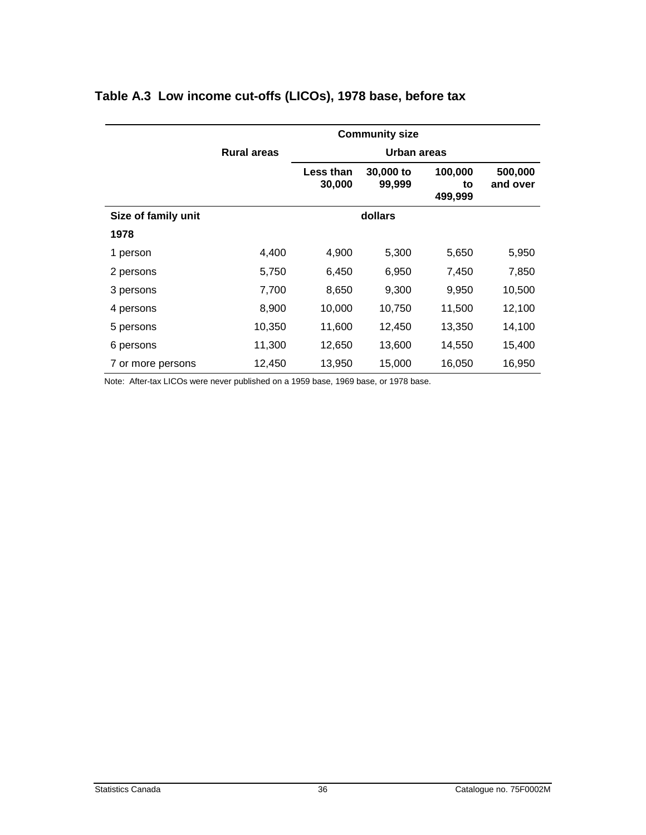|                     | <b>Community size</b> |                     |                     |                          |                     |  |  |
|---------------------|-----------------------|---------------------|---------------------|--------------------------|---------------------|--|--|
|                     | <b>Rural areas</b>    | Urban areas         |                     |                          |                     |  |  |
|                     |                       | Less than<br>30,000 | 30,000 to<br>99,999 | 100,000<br>to<br>499,999 | 500,000<br>and over |  |  |
| Size of family unit |                       | dollars             |                     |                          |                     |  |  |
| 1978                |                       |                     |                     |                          |                     |  |  |
| 1 person            | 4,400                 | 4,900               | 5,300               | 5,650                    | 5,950               |  |  |
| 2 persons           | 5,750                 | 6,450               | 6,950               | 7,450                    | 7,850               |  |  |
| 3 persons           | 7,700                 | 8,650               | 9,300               | 9,950                    | 10,500              |  |  |
| 4 persons           | 8,900                 | 10,000              | 10,750              | 11,500                   | 12,100              |  |  |
| 5 persons           | 10,350                | 11,600              | 12,450              | 13,350                   | 14,100              |  |  |
| 6 persons           | 11,300                | 12,650              | 13,600              | 14,550                   | 15,400              |  |  |
| 7 or more persons   | 12,450                | 13,950              | 15,000              | 16,050                   | 16,950              |  |  |

#### <span id="page-35-0"></span>**Table A.3 Low income cut-offs (LICOs), 1978 base, before tax**

Note: After-tax LICOs were never published on a 1959 base, 1969 base, or 1978 base.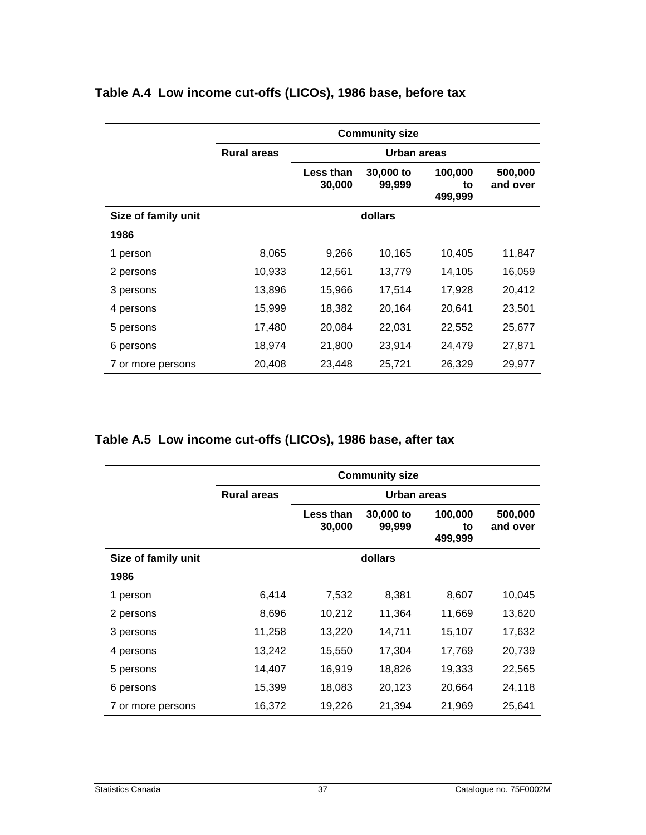|                     | <b>Community size</b>             |                     |                     |                          |                     |  |
|---------------------|-----------------------------------|---------------------|---------------------|--------------------------|---------------------|--|
|                     | <b>Rural areas</b><br>Urban areas |                     |                     |                          |                     |  |
|                     |                                   | Less than<br>30,000 | 30,000 to<br>99,999 | 100,000<br>to<br>499,999 | 500,000<br>and over |  |
| Size of family unit |                                   |                     | dollars             |                          |                     |  |
| 1986                |                                   |                     |                     |                          |                     |  |
| 1 person            | 8,065                             | 9,266               | 10,165              | 10,405                   | 11,847              |  |
| 2 persons           | 10,933                            | 12,561              | 13,779              | 14,105                   | 16,059              |  |
| 3 persons           | 13,896                            | 15,966              | 17,514              | 17,928                   | 20,412              |  |
| 4 persons           | 15,999                            | 18,382              | 20,164              | 20,641                   | 23,501              |  |
| 5 persons           | 17,480                            | 20,084              | 22,031              | 22,552                   | 25,677              |  |
| 6 persons           | 18,974                            | 21,800              | 23,914              | 24,479                   | 27,871              |  |
| 7 or more persons   | 20,408                            | 23,448              | 25,721              | 26,329                   | 29,977              |  |

#### <span id="page-36-0"></span>**Table A.4 Low income cut-offs (LICOs), 1986 base, before tax**

#### **Table A.5 Low income cut-offs (LICOs), 1986 base, after tax**

|                     | <b>Community size</b> |                     |                     |                          |                     |  |  |
|---------------------|-----------------------|---------------------|---------------------|--------------------------|---------------------|--|--|
|                     | <b>Rural areas</b>    | <b>Urban areas</b>  |                     |                          |                     |  |  |
|                     |                       | Less than<br>30,000 | 30,000 to<br>99,999 | 100,000<br>to<br>499,999 | 500,000<br>and over |  |  |
| Size of family unit |                       | dollars             |                     |                          |                     |  |  |
| 1986                |                       |                     |                     |                          |                     |  |  |
| 1 person            | 6,414                 | 7,532               | 8,381               | 8,607                    | 10,045              |  |  |
| 2 persons           | 8,696                 | 10,212              | 11,364              | 11,669                   | 13,620              |  |  |
| 3 persons           | 11,258                | 13,220              | 14,711              | 15,107                   | 17,632              |  |  |
| 4 persons           | 13,242                | 15,550              | 17,304              | 17,769                   | 20,739              |  |  |
| 5 persons           | 14,407                | 16,919              | 18,826              | 19,333                   | 22,565              |  |  |
| 6 persons           | 15,399                | 18,083              | 20,123              | 20,664                   | 24,118              |  |  |
| 7 or more persons   | 16,372                | 19,226              | 21,394              | 21,969                   | 25,641              |  |  |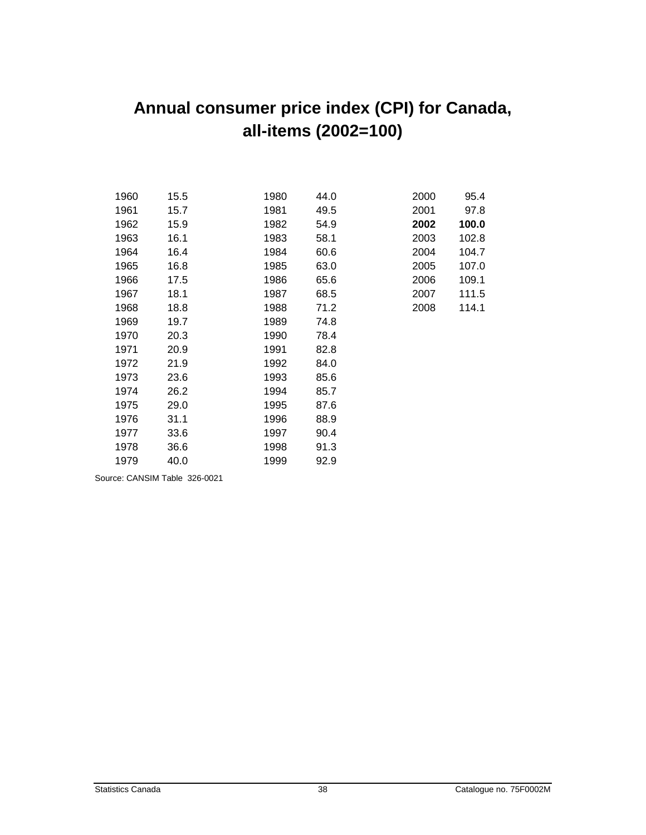# <span id="page-37-0"></span>**Annual consumer price index (CPI) for Canada, all-items (2002=100)**

| 1960 | 15.5 | 1980 | 44.0 | 2000 | 95.4  |
|------|------|------|------|------|-------|
| 1961 | 15.7 | 1981 | 49.5 | 2001 | 97.8  |
| 1962 | 15.9 | 1982 | 54.9 | 2002 | 100.0 |
| 1963 | 16.1 | 1983 | 58.1 | 2003 | 102.8 |
| 1964 | 16.4 | 1984 | 60.6 | 2004 | 104.7 |
| 1965 | 16.8 | 1985 | 63.0 | 2005 | 107.0 |
| 1966 | 17.5 | 1986 | 65.6 | 2006 | 109.1 |
| 1967 | 18.1 | 1987 | 68.5 | 2007 | 111.5 |
| 1968 | 18.8 | 1988 | 71.2 | 2008 | 114.1 |
| 1969 | 19.7 | 1989 | 74.8 |      |       |
| 1970 | 20.3 | 1990 | 78.4 |      |       |
| 1971 | 20.9 | 1991 | 82.8 |      |       |
| 1972 | 21.9 | 1992 | 84.0 |      |       |
| 1973 | 23.6 | 1993 | 85.6 |      |       |
| 1974 | 26.2 | 1994 | 85.7 |      |       |
| 1975 | 29.0 | 1995 | 87.6 |      |       |
| 1976 | 31.1 | 1996 | 88.9 |      |       |
| 1977 | 33.6 | 1997 | 90.4 |      |       |
| 1978 | 36.6 | 1998 | 91.3 |      |       |
| 1979 | 40.0 | 1999 | 92.9 |      |       |
|      |      |      |      |      |       |

Source: CANSIM Table 326-0021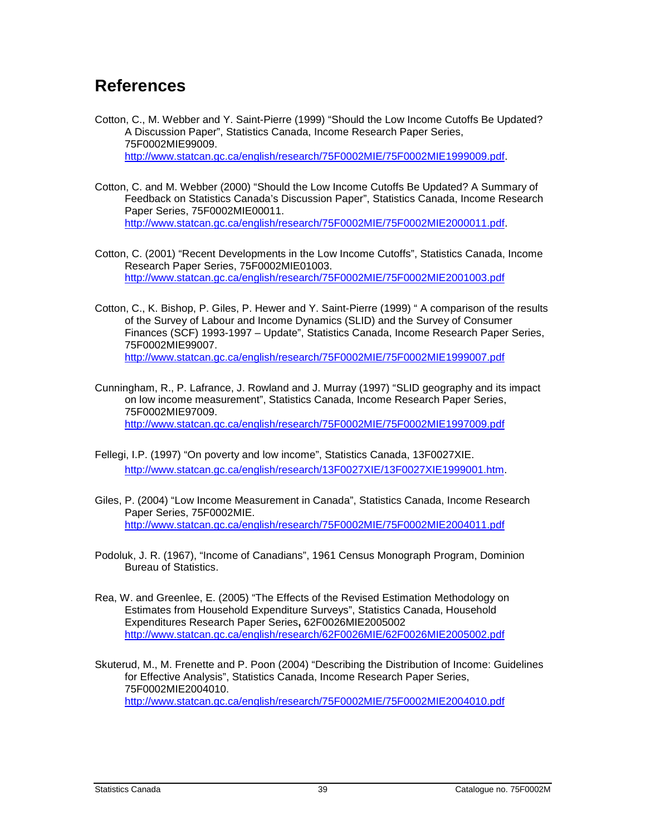## <span id="page-38-0"></span>**References**

- Cotton, C., M. Webber and Y. Saint-Pierre (1999) "Should the Low Income Cutoffs Be Updated? A Discussion Paper", Statistics Canada, Income Research Paper Series, 75F0002MIE99009. http://www.statcan.gc.ca/english/research/75F0002MIE/75F0002MIE1999009.pdf.
- Cotton, C. and M. Webber (2000) "Should the Low Income Cutoffs Be Updated? A Summary of Feedback on Statistics Canada's Discussion Paper", Statistics Canada, Income Research Paper Series, 75F0002MIE00011. http://www.statcan.gc.ca/english/research/75F0002MIE/75F0002MIE2000011.pdf.
- Cotton, C. (2001) "Recent Developments in the Low Income Cutoffs", Statistics Canada, Income Research Paper Series, 75F0002MIE01003. http://www.statcan.gc.ca/english/research/75F0002MIE/75F0002MIE2001003.pdf
- Cotton, C., K. Bishop, P. Giles, P. Hewer and Y. Saint-Pierre (1999) " A comparison of the results of the Survey of Labour and Income Dynamics (SLID) and the Survey of Consumer Finances (SCF) 1993-1997 – Update", Statistics Canada, Income Research Paper Series, 75F0002MIE99007. http://www.statcan.gc.ca/english/research/75F0002MIE/75F0002MIE1999007.pdf
- Cunningham, R., P. Lafrance, J. Rowland and J. Murray (1997) "SLID geography and its impact on low income measurement", Statistics Canada, Income Research Paper Series, 75F0002MIE97009. http://www.statcan.gc.ca/english/research/75F0002MIE/75F0002MIE1997009.pdf
- Fellegi, I.P. (1997) "On poverty and low income", Statistics Canada, 13F0027XIE. http://www.statcan.gc.ca/english/research/13F0027XIE/13F0027XIE1999001.htm.
- Giles, P. (2004) "Low Income Measurement in Canada", Statistics Canada, Income Research Paper Series, 75F0002MIE. http://www.statcan.gc.ca/english/research/75F0002MIE/75F0002MIE2004011.pdf
- Podoluk, J. R. (1967), "Income of Canadians", 1961 Census Monograph Program, Dominion Bureau of Statistics.
- Rea, W. and Greenlee, E. (2005) "The Effects of the Revised Estimation Methodology on Estimates from Household Expenditure Surveys", Statistics Canada, Household Expenditures Research Paper Series**,** 62F0026MIE2005002 http://www.statcan.gc.ca/english/research/62F0026MIE/62F0026MIE2005002.pdf
- Skuterud, M., M. Frenette and P. Poon (2004) "Describing the Distribution of Income: Guidelines for Effective Analysis", Statistics Canada, Income Research Paper Series, 75F0002MIE2004010. http://www.statcan.gc.ca/english/research/75F0002MIE/75F0002MIE2004010.pdf